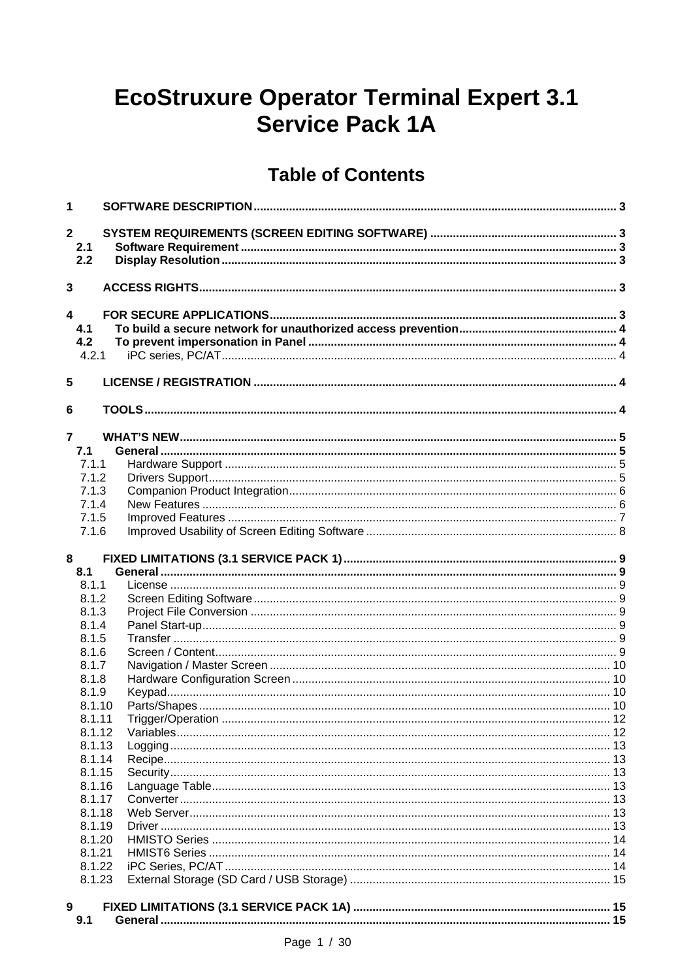# **EcoStruxure Operator Terminal Expert 3.1 Service Pack 1A**

# **Table of Contents**

| 1                       |  |
|-------------------------|--|
| $\overline{2}$          |  |
| 2.1                     |  |
| 2.2                     |  |
|                         |  |
| 3                       |  |
|                         |  |
| $\overline{\mathbf{4}}$ |  |
| 4.1                     |  |
| 4.2                     |  |
| 4.2.1                   |  |
|                         |  |
| 5                       |  |
|                         |  |
| 6                       |  |
| $\overline{7}$          |  |
| 7.1                     |  |
| 7.1.1                   |  |
| 7.1.2                   |  |
| 7.1.3                   |  |
| 7.1.4                   |  |
| 7.1.5                   |  |
| 7.1.6                   |  |
|                         |  |
| 8                       |  |
| 8.1                     |  |
| 8.1.1                   |  |
| 8.1.2                   |  |
| 8.1.3                   |  |
| 8.1.4                   |  |
| 8.1.5                   |  |
| 8.1.6                   |  |
| 8.1.7                   |  |
| 8.1.8                   |  |
| 8.1.9                   |  |
| 8.1.10                  |  |
| 8.1.11<br>8.1.12        |  |
| 8.1.13                  |  |
| 8.1.14                  |  |
| 8.1.15                  |  |
| 8.1.16                  |  |
| 8.1.17                  |  |
| 8.1.18                  |  |
| 8.1.19                  |  |
| 8.1.20                  |  |
| 8.1.21                  |  |
| 8.1.22                  |  |
| 8.1.23                  |  |
|                         |  |
| 9                       |  |
| 9.1                     |  |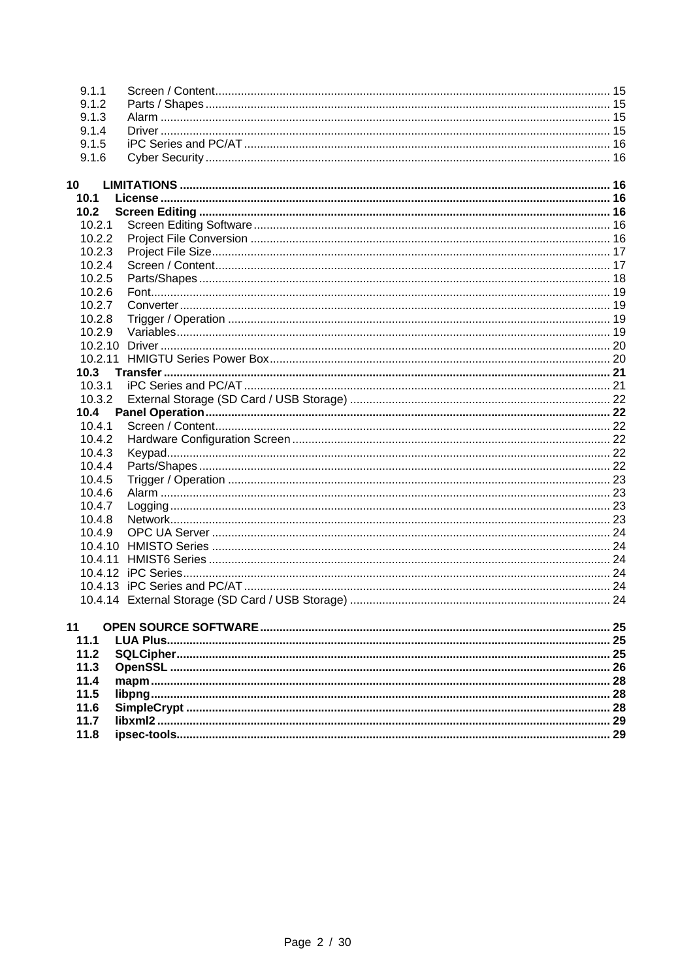| 9.1.1   |  |
|---------|--|
| 9.1.2   |  |
| 9.1.3   |  |
| 9.1.4   |  |
| 9.1.5   |  |
| 9.1.6   |  |
|         |  |
| 10      |  |
| 10.1    |  |
| 10.2    |  |
| 10.2.1  |  |
| 10.2.2  |  |
| 10.2.3  |  |
| 10.2.4  |  |
| 10.2.5  |  |
| 10.2.6  |  |
| 10.2.7  |  |
| 10.2.8  |  |
| 10.2.9  |  |
|         |  |
|         |  |
| 10.3    |  |
| 10.3.1  |  |
| 10.3.2  |  |
| 10.4    |  |
| 10.4.1  |  |
| 10.4.2  |  |
| 10.4.3  |  |
| 10.4.4  |  |
| 10.4.5  |  |
| 10.4.6  |  |
| 10.4.7  |  |
| 10.4.8  |  |
| 10.4.9  |  |
| 10.4.10 |  |
| 10.4.11 |  |
|         |  |
|         |  |
|         |  |
|         |  |
| 11      |  |
| 11.1    |  |
| 11.2    |  |
| 11.3    |  |
| 11.4    |  |
| 11.5    |  |
| 11.6    |  |
| 11.7    |  |
| 11.8    |  |
|         |  |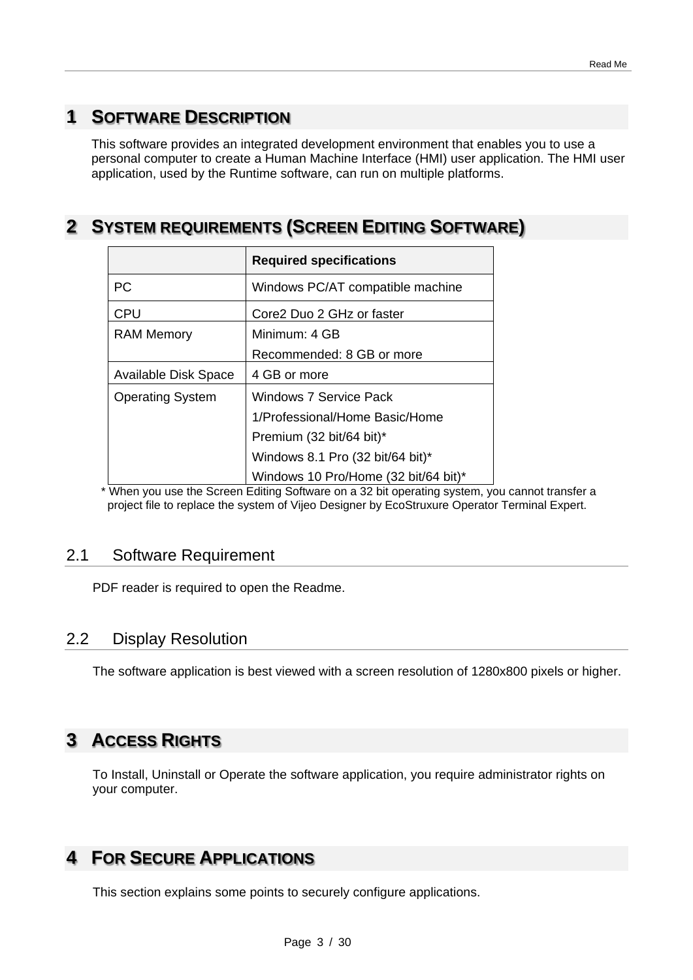# **1 SOFTWARE DESCRIPTION**

This software provides an integrated development environment that enables you to use a personal computer to create a Human Machine Interface (HMI) user application. The HMI user application, used by the Runtime software, can run on multiple platforms.

# **2 SYSTEM REQUIREMENTS (SCREEN EDITING SOFTWARE)**

|                         | <b>Required specifications</b>       |
|-------------------------|--------------------------------------|
| <b>PC</b>               | Windows PC/AT compatible machine     |
| <b>CPU</b>              | Core2 Duo 2 GHz or faster            |
| <b>RAM Memory</b>       | Minimum: 4 GB                        |
|                         | Recommended: 8 GB or more            |
| Available Disk Space    | 4 GB or more                         |
| <b>Operating System</b> | <b>Windows 7 Service Pack</b>        |
|                         | 1/Professional/Home Basic/Home       |
|                         | Premium (32 bit/64 bit)*             |
|                         | Windows 8.1 Pro (32 bit/64 bit)*     |
|                         | Windows 10 Pro/Home (32 bit/64 bit)* |

 \* When you use the Screen Editing Software on a 32 bit operating system, you cannot transfer a project file to replace the system of Vijeo Designer by EcoStruxure Operator Terminal Expert.

## 2.1 Software Requirement

PDF reader is required to open the Readme.

# 2.2 Display Resolution

The software application is best viewed with a screen resolution of 1280x800 pixels or higher.

# **3 ACCESS RIGHTS**

To Install, Uninstall or Operate the software application, you require administrator rights on your computer.

# **4 FOR SECURE APPLICATIONS**

This section explains some points to securely configure applications.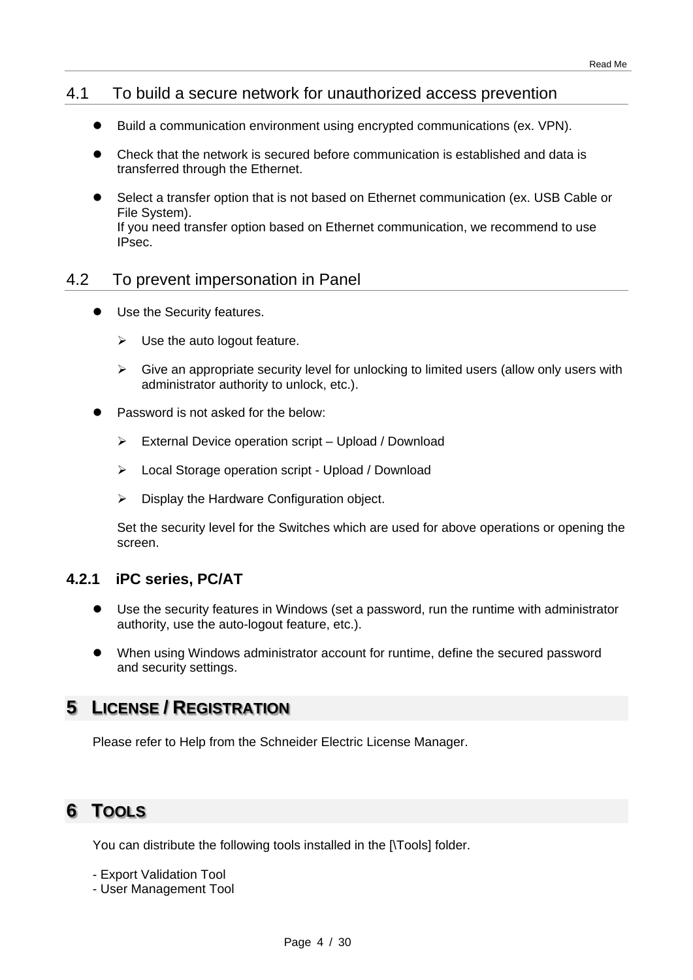## 4.1 To build a secure network for unauthorized access prevention

- Build a communication environment using encrypted communications (ex. VPN).
- Check that the network is secured before communication is established and data is transferred through the Ethernet.
- Select a transfer option that is not based on Ethernet communication (ex. USB Cable or File System). If you need transfer option based on Ethernet communication, we recommend to use IPsec.

## 4.2 To prevent impersonation in Panel

- Use the Security features.
	- $\triangleright$  Use the auto logout feature.
	- $\triangleright$  Give an appropriate security level for unlocking to limited users (allow only users with administrator authority to unlock, etc.).
- Password is not asked for the below:
	- $\triangleright$  External Device operation script Upload / Download
	- Local Storage operation script Upload / Download
	- $\triangleright$  Display the Hardware Configuration object.

Set the security level for the Switches which are used for above operations or opening the screen.

## **4.2.1 iPC series, PC/AT**

- Use the security features in Windows (set a password, run the runtime with administrator authority, use the auto-logout feature, etc.).
- When using Windows administrator account for runtime, define the secured password and security settings.

# **5 LICENSE / REGISTRATION**

Please refer to Help from the Schneider Electric License Manager.

# **6 TOOLS**

You can distribute the following tools installed in the [\Tools] folder.

- Export Validation Tool

- User Management Tool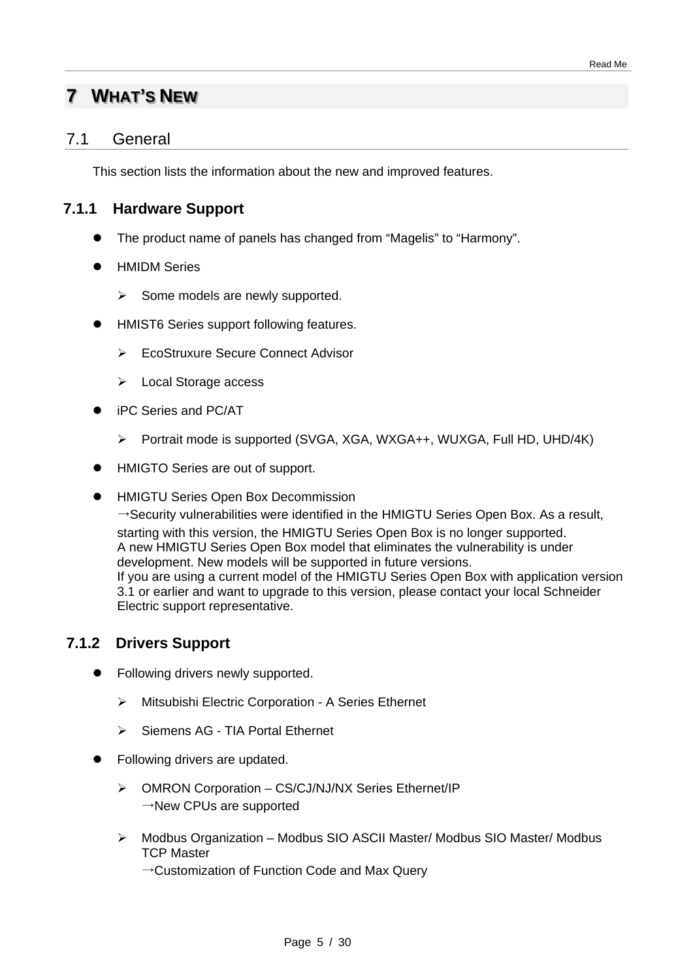# **7 WHAT'S NEW**

## 7.1 General

This section lists the information about the new and improved features.

## **7.1.1 Hardware Support**

- The product name of panels has changed from "Magelis" to "Harmony".
- HMIDM Series
	- $\triangleright$  Some models are newly supported.
- HMIST6 Series support following features.
	- EcoStruxure Secure Connect Advisor
	- Local Storage access
- iPC Series and PC/AT
	- Portrait mode is supported (SVGA, XGA, WXGA++, WUXGA, Full HD, UHD/4K)
- HMIGTO Series are out of support.
- HMIGTU Series Open Box Decommission

 $\rightarrow$  Security vulnerabilities were identified in the HMIGTU Series Open Box. As a result, starting with this version, the HMIGTU Series Open Box is no longer supported. A new HMIGTU Series Open Box model that eliminates the vulnerability is under development. New models will be supported in future versions. If you are using a current model of the HMIGTU Series Open Box with application version 3.1 or earlier and want to upgrade to this version, please contact your local Schneider Electric support representative.

## **7.1.2 Drivers Support**

- Following drivers newly supported.
	- Mitsubishi Electric Corporation A Series Ethernet
	- $\triangleright$  Siemens AG TIA Portal Ethernet
- Following drivers are updated.
	- > OMRON Corporation CS/CJ/NJ/NX Series Ethernet/IP  $\rightarrow$ New CPUs are supported
	- Modbus Organization Modbus SIO ASCII Master/ Modbus SIO Master/ Modbus TCP Master
		- →Customization of Function Code and Max Query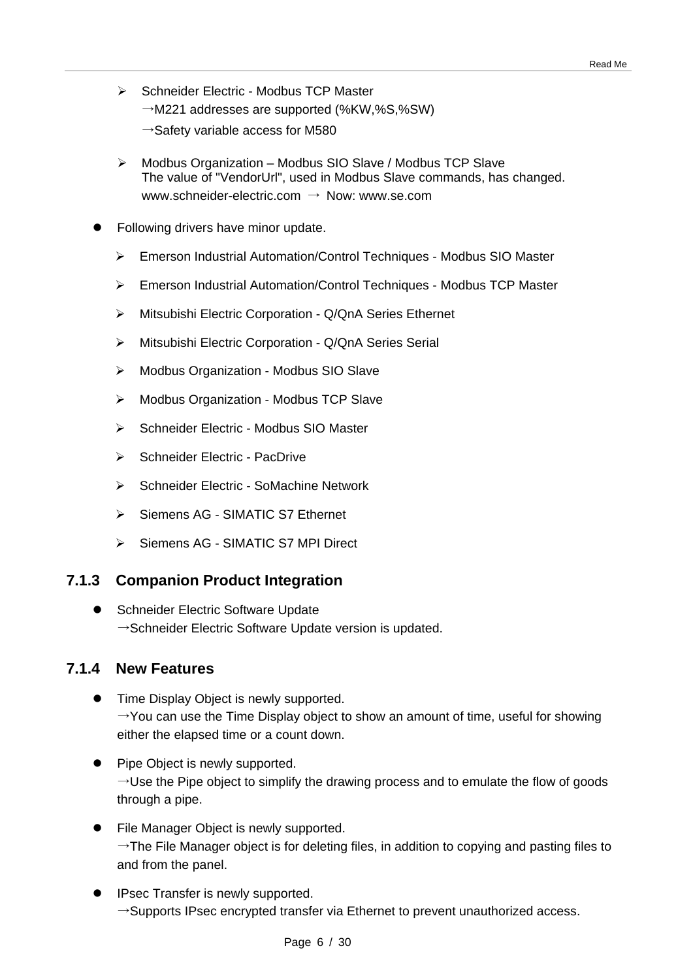- ▶ Schneider Electric Modbus TCP Master  $\rightarrow$ M221 addresses are supported (%KW,%S,%SW)
	- $\rightarrow$ Safety variable access for M580
- Modbus Organization Modbus SIO Slave / Modbus TCP Slave The value of "VendorUrl", used in Modbus Slave commands, has changed. www.schneider-electric.com → Now: www.se.com
- Following drivers have minor update.
	- Emerson Industrial Automation/Control Techniques Modbus SIO Master
	- Emerson Industrial Automation/Control Techniques Modbus TCP Master
	- Mitsubishi Electric Corporation Q/QnA Series Ethernet
	- Mitsubishi Electric Corporation Q/QnA Series Serial
	- Modbus Organization Modbus SIO Slave
	- Modbus Organization Modbus TCP Slave
	- Schneider Flectric Modbus SIO Master
	- $\triangleright$  Schneider Electric PacDrive
	- Schneider Electric SoMachine Network
	- ▶ Siemens AG SIMATIC S7 Ethernet
	- > Siemens AG SIMATIC S7 MPI Direct

## **7.1.3 Companion Product Integration**

● Schneider Electric Software Update  $\rightarrow$ Schneider Electric Software Update version is updated.

## **7.1.4 New Features**

- **•** Time Display Object is newly supported.  $\rightarrow$ You can use the Time Display object to show an amount of time, useful for showing either the elapsed time or a count down.
- Pipe Object is newly supported.  $\rightarrow$ Use the Pipe object to simplify the drawing process and to emulate the flow of goods through a pipe.
- File Manager Object is newly supported.  $\rightarrow$  The File Manager object is for deleting files, in addition to copying and pasting files to and from the panel.
- IPsec Transfer is newly supported.  $\rightarrow$ Supports IPsec encrypted transfer via Ethernet to prevent unauthorized access.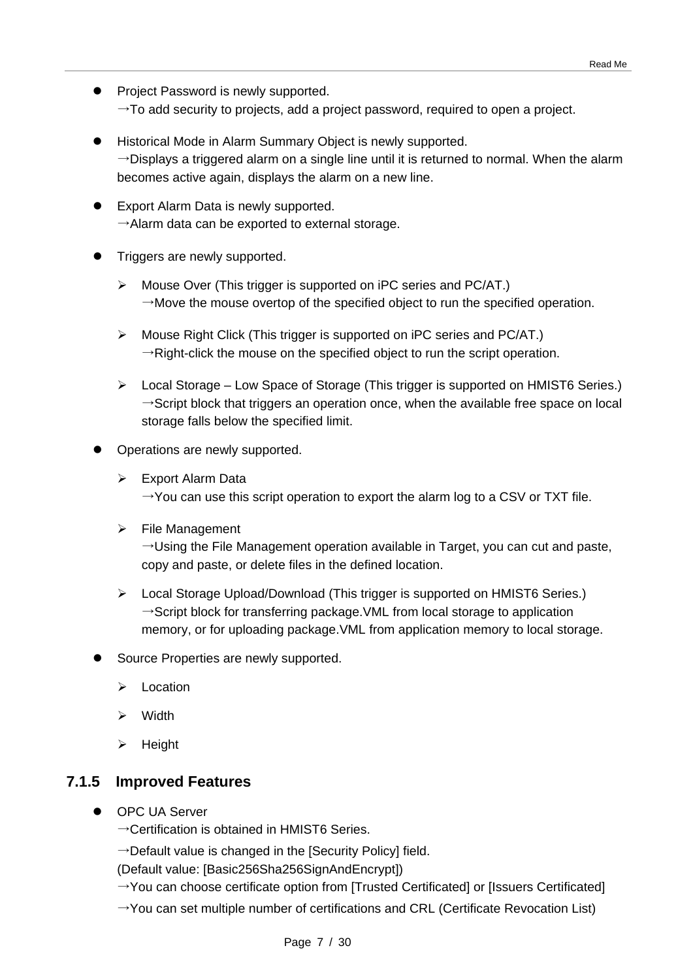- Project Password is newly supported.  $\rightarrow$  To add security to projects, add a project password, required to open a project.
- Historical Mode in Alarm Summary Object is newly supported.  $\rightarrow$ Displays a triggered alarm on a single line until it is returned to normal. When the alarm becomes active again, displays the alarm on a new line.
- **•** Export Alarm Data is newly supported.  $\rightarrow$ Alarm data can be exported to external storage.
- Triggers are newly supported.
	- Mouse Over (This trigger is supported on iPC series and PC/AT.)  $\rightarrow$ Move the mouse overtop of the specified object to run the specified operation.
	- Mouse Right Click (This trigger is supported on iPC series and PC/AT.)  $\rightarrow$ Right-click the mouse on the specified object to run the script operation.
	- Local Storage Low Space of Storage (This trigger is supported on HMIST6 Series.)  $\rightarrow$ Script block that triggers an operation once, when the available free space on local storage falls below the specified limit.
- Operations are newly supported.
	- **Export Alarm Data**  $\rightarrow$ You can use this script operation to export the alarm log to a CSV or TXT file.
	- $\triangleright$  File Management

 $\rightarrow$ Using the File Management operation available in Target, you can cut and paste, copy and paste, or delete files in the defined location.

- Local Storage Upload/Download (This trigger is supported on HMIST6 Series.)  $\rightarrow$ Script block for transferring package. VML from local storage to application memory, or for uploading package.VML from application memory to local storage.
- Source Properties are newly supported.
	- $\triangleright$  Location
	- Width
	- $\triangleright$  Height

## **7.1.5 Improved Features**

- OPC UA Server
	- $\rightarrow$  Certification is obtained in HMIST6 Series.
	- $\rightarrow$ Default value is changed in the [Security Policy] field.

(Default value: [Basic256Sha256SignAndEncrypt])

- $\rightarrow$ You can choose certificate option from [Trusted Certificated] or [Issuers Certificated]
- $\rightarrow$ You can set multiple number of certifications and CRL (Certificate Revocation List)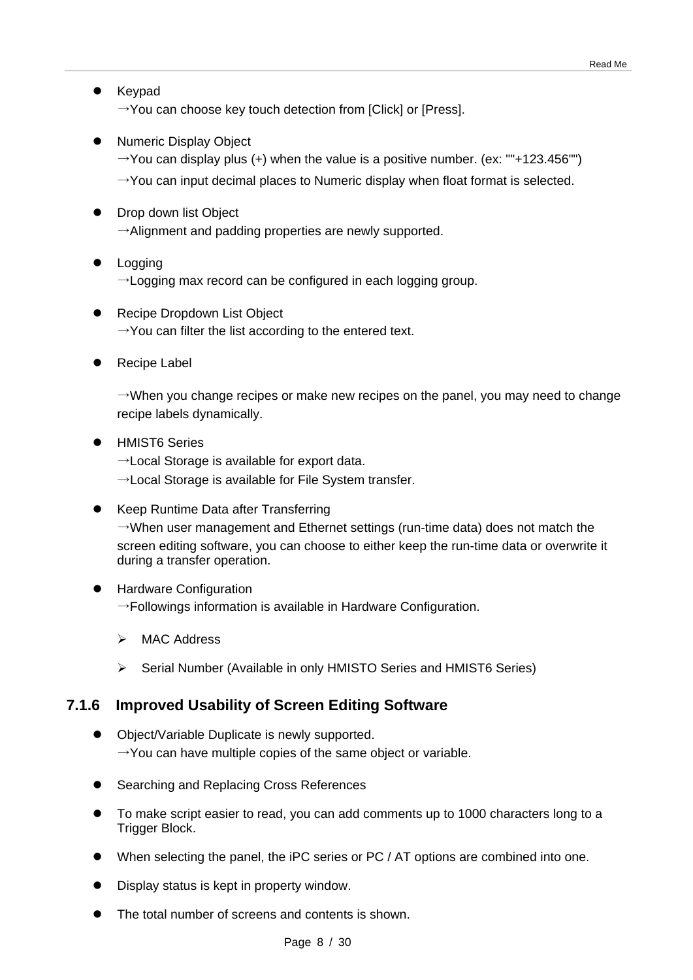- Keypad  $\rightarrow$ You can choose key touch detection from [Click] or [Press].
- Numeric Display Object
	- $\rightarrow$ You can display plus (+) when the value is a positive number. (ex: ""+123.456"")
	- $\rightarrow$ You can input decimal places to Numeric display when float format is selected.
- Drop down list Object  $\rightarrow$ Alignment and padding properties are newly supported.
- Logging  $\rightarrow$  Logging max record can be configured in each logging group.
- Recipe Dropdown List Object  $\rightarrow$ You can filter the list according to the entered text.
- Recipe Label

 $\rightarrow$ When you change recipes or make new recipes on the panel, you may need to change recipe labels dynamically.

- **•** HMIST6 Series
	- $\rightarrow$  Local Storage is available for export data.
	- $\rightarrow$ Local Storage is available for File System transfer.
- Keep Runtime Data after Transferring  $\rightarrow$ When user management and Ethernet settings (run-time data) does not match the screen editing software, you can choose to either keep the run-time data or overwrite it during a transfer operation.
- Hardware Configuration  $\rightarrow$ Followings information is available in Hardware Configuration.
	- > MAC Address
	- Serial Number (Available in only HMISTO Series and HMIST6 Series)

## **7.1.6 Improved Usability of Screen Editing Software**

- Object/Variable Duplicate is newly supported.  $\rightarrow$ You can have multiple copies of the same object or variable.
- Searching and Replacing Cross References
- To make script easier to read, you can add comments up to 1000 characters long to a Trigger Block.
- When selecting the panel, the iPC series or PC / AT options are combined into one.
- Display status is kept in property window.
- The total number of screens and contents is shown.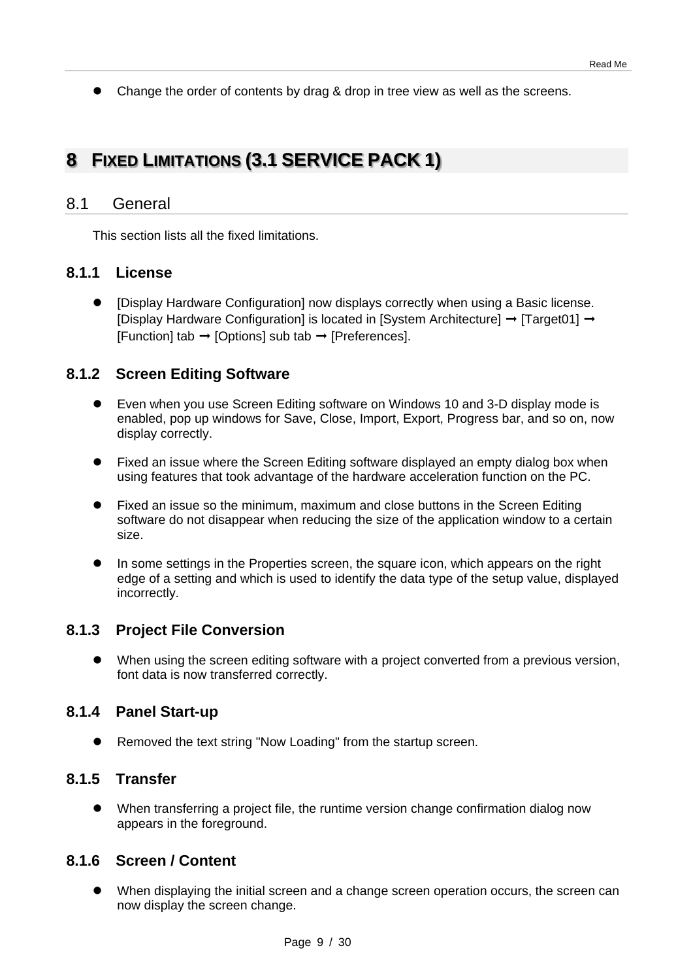• Change the order of contents by drag & drop in tree view as well as the screens.

# **8 FIXED LIMITATIONS (3.1 SERVICE PACK 1)**

## 8.1 General

This section lists all the fixed limitations.

## **8.1.1 License**

 [Display Hardware Configuration] now displays correctly when using a Basic license. [Display Hardware Configuration] is located in [System Architecture]  $\rightarrow$  [Target01]  $\rightarrow$ [Function] tab  $\rightarrow$  [Options] sub tab  $\rightarrow$  [Preferences].

## **8.1.2 Screen Editing Software**

- Even when you use Screen Editing software on Windows 10 and 3-D display mode is enabled, pop up windows for Save, Close, Import, Export, Progress bar, and so on, now display correctly.
- Fixed an issue where the Screen Editing software displayed an empty dialog box when using features that took advantage of the hardware acceleration function on the PC.
- Fixed an issue so the minimum, maximum and close buttons in the Screen Editing software do not disappear when reducing the size of the application window to a certain size.
- In some settings in the Properties screen, the square icon, which appears on the right edge of a setting and which is used to identify the data type of the setup value, displayed incorrectly.

## **8.1.3 Project File Conversion**

 When using the screen editing software with a project converted from a previous version, font data is now transferred correctly.

## **8.1.4 Panel Start-up**

Removed the text string "Now Loading" from the startup screen.

## **8.1.5 Transfer**

 When transferring a project file, the runtime version change confirmation dialog now appears in the foreground.

## **8.1.6 Screen / Content**

 When displaying the initial screen and a change screen operation occurs, the screen can now display the screen change.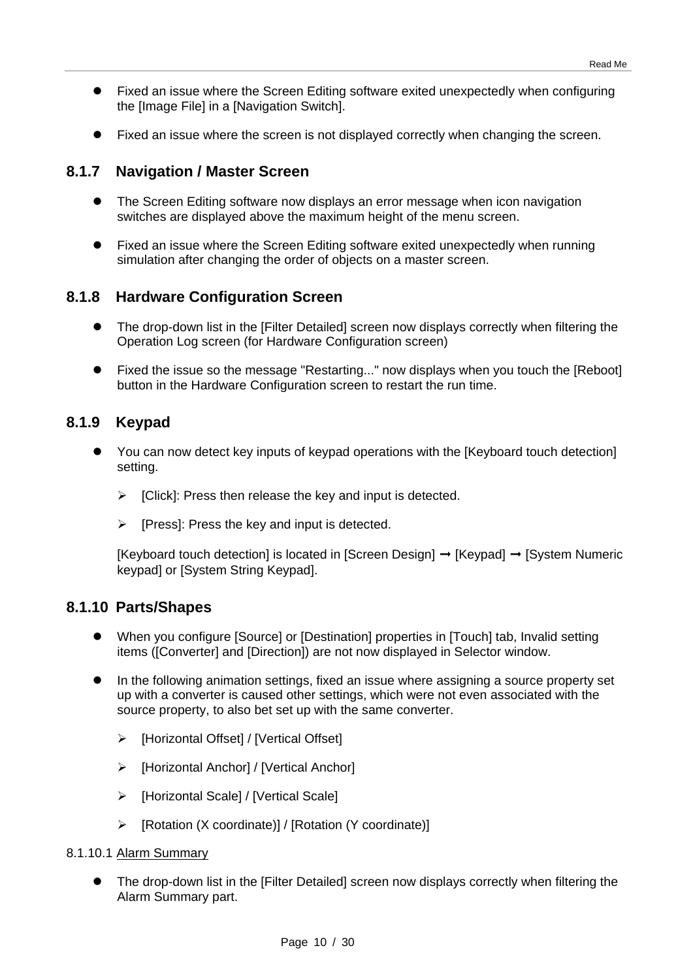- Fixed an issue where the Screen Editing software exited unexpectedly when configuring the [Image File] in a [Navigation Switch].
- Fixed an issue where the screen is not displayed correctly when changing the screen.

## **8.1.7 Navigation / Master Screen**

- The Screen Editing software now displays an error message when icon navigation switches are displayed above the maximum height of the menu screen.
- Fixed an issue where the Screen Editing software exited unexpectedly when running simulation after changing the order of objects on a master screen.

## **8.1.8 Hardware Configuration Screen**

- The drop-down list in the [Filter Detailed] screen now displays correctly when filtering the Operation Log screen (for Hardware Configuration screen)
- Fixed the issue so the message "Restarting..." now displays when you touch the [Reboot] button in the Hardware Configuration screen to restart the run time.

## **8.1.9 Keypad**

- You can now detect key inputs of keypad operations with the [Keyboard touch detection] setting.
	- $\triangleright$  [Click]: Press then release the key and input is detected.
	- $\triangleright$  [Press]: Press the key and input is detected.

 $[Keyboard touch detection]$  is located in  $[Screen Design] \rightarrow [Keybad] \rightarrow [System Numeric]$ keypad] or [System String Keypad].

## **8.1.10 Parts/Shapes**

- When you configure [Source] or [Destination] properties in [Touch] tab, Invalid setting items ([Converter] and [Direction]) are not now displayed in Selector window.
- In the following animation settings, fixed an issue where assigning a source property set up with a converter is caused other settings, which were not even associated with the source property, to also bet set up with the same converter.
	- > [Horizontal Offset] / [Vertical Offset]
	- [Horizontal Anchor] / [Vertical Anchor]
	- [Horizontal Scale] / [Vertical Scale]
	- [Rotation (X coordinate)] / [Rotation (Y coordinate)]

#### 8.1.10.1 Alarm Summary

 The drop-down list in the [Filter Detailed] screen now displays correctly when filtering the Alarm Summary part.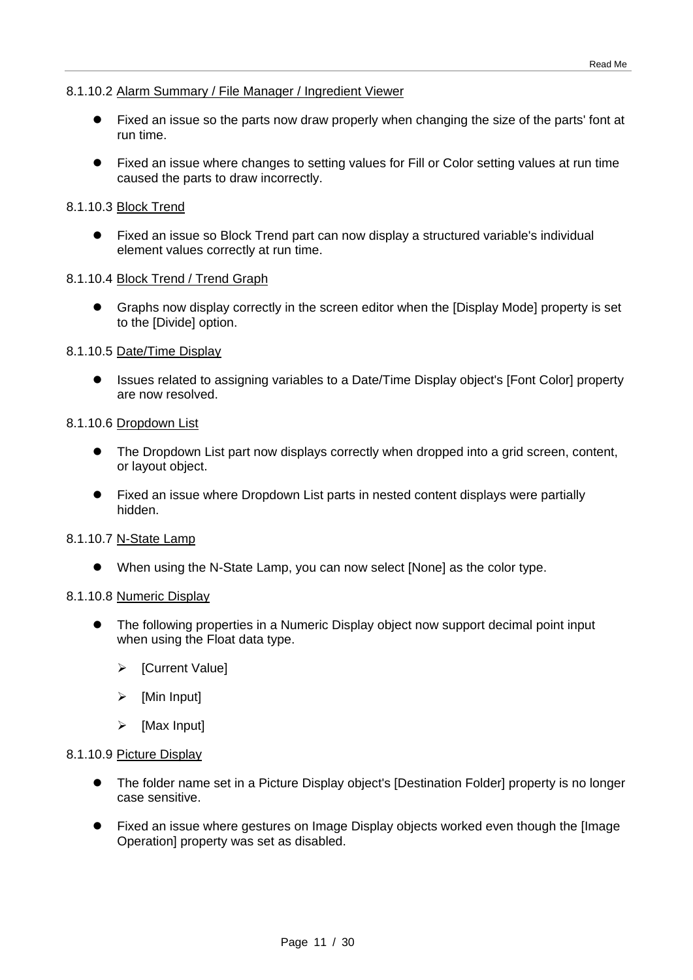#### 8.1.10.2 Alarm Summary / File Manager / Ingredient Viewer

- Fixed an issue so the parts now draw properly when changing the size of the parts' font at run time.
- Fixed an issue where changes to setting values for Fill or Color setting values at run time caused the parts to draw incorrectly.

#### 8.1.10.3 Block Trend

 Fixed an issue so Block Trend part can now display a structured variable's individual element values correctly at run time.

#### 8.1.10.4 Block Trend / Trend Graph

 Graphs now display correctly in the screen editor when the [Display Mode] property is set to the [Divide] option.

#### 8.1.10.5 Date/Time Display

 Issues related to assigning variables to a Date/Time Display object's [Font Color] property are now resolved.

#### 8.1.10.6 Dropdown List

- The Dropdown List part now displays correctly when dropped into a grid screen, content, or layout object.
- Fixed an issue where Dropdown List parts in nested content displays were partially hidden.

#### 8.1.10.7 N-State Lamp

When using the N-State Lamp, you can now select [None] as the color type.

#### 8.1.10.8 Numeric Display

- The following properties in a Numeric Display object now support decimal point input when using the Float data type.
	- [Current Value]
	- $\triangleright$  [Min Input]
	- $\triangleright$  [Max Input]

#### 8.1.10.9 Picture Display

- The folder name set in a Picture Display object's [Destination Folder] property is no longer case sensitive.
- Fixed an issue where gestures on Image Display objects worked even though the [Image Operation] property was set as disabled.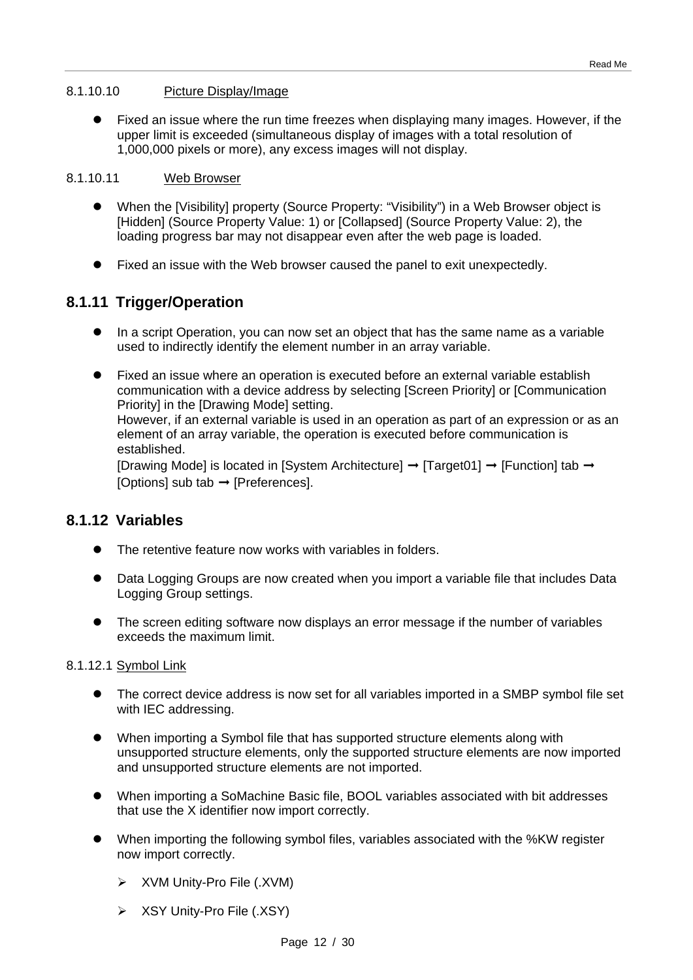#### 8.1.10.10 Picture Display/Image

 Fixed an issue where the run time freezes when displaying many images. However, if the upper limit is exceeded (simultaneous display of images with a total resolution of 1,000,000 pixels or more), any excess images will not display.

#### 8.1.10.11 Web Browser

- When the [Visibility] property (Source Property: "Visibility") in a Web Browser object is [Hidden] (Source Property Value: 1) or [Collapsed] (Source Property Value: 2), the loading progress bar may not disappear even after the web page is loaded.
- Fixed an issue with the Web browser caused the panel to exit unexpectedly.

## **8.1.11 Trigger/Operation**

- In a script Operation, you can now set an object that has the same name as a variable used to indirectly identify the element number in an array variable.
- Fixed an issue where an operation is executed before an external variable establish communication with a device address by selecting [Screen Priority] or [Communication Priority] in the [Drawing Mode] setting. However, if an external variable is used in an operation as part of an expression or as an element of an array variable, the operation is executed before communication is established. [Drawing Mode] is located in [System Architecture]  $\rightarrow$  [Target01]  $\rightarrow$  [Function] tab  $\rightarrow$

[Options] sub tab  $\rightarrow$  [Preferences].

## **8.1.12 Variables**

- The retentive feature now works with variables in folders.
- Data Logging Groups are now created when you import a variable file that includes Data Logging Group settings.
- The screen editing software now displays an error message if the number of variables exceeds the maximum limit.

#### 8.1.12.1 Symbol Link

- The correct device address is now set for all variables imported in a SMBP symbol file set with IEC addressing.
- When importing a Symbol file that has supported structure elements along with unsupported structure elements, only the supported structure elements are now imported and unsupported structure elements are not imported.
- When importing a SoMachine Basic file, BOOL variables associated with bit addresses that use the X identifier now import correctly.
- When importing the following symbol files, variables associated with the %KW register now import correctly.
	- XVM Unity-Pro File (.XVM)
	- $\triangleright$  XSY Unity-Pro File (.XSY)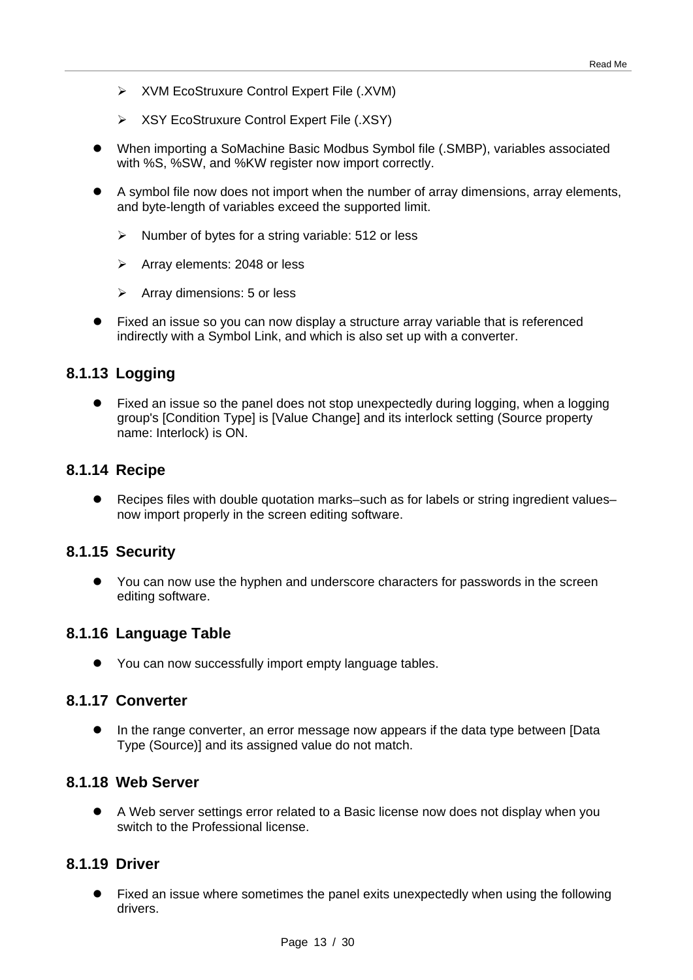- XVM EcoStruxure Control Expert File (.XVM)
- XSY EcoStruxure Control Expert File (.XSY)
- When importing a SoMachine Basic Modbus Symbol file (.SMBP), variables associated with %S, %SW, and %KW register now import correctly.
- A symbol file now does not import when the number of array dimensions, array elements, and byte-length of variables exceed the supported limit.
	- $\triangleright$  Number of bytes for a string variable: 512 or less
	- $\triangleright$  Array elements: 2048 or less
	- $\triangleright$  Array dimensions: 5 or less
- Fixed an issue so you can now display a structure array variable that is referenced indirectly with a Symbol Link, and which is also set up with a converter.

## **8.1.13 Logging**

 Fixed an issue so the panel does not stop unexpectedly during logging, when a logging group's [Condition Type] is [Value Change] and its interlock setting (Source property name: Interlock) is ON.

#### **8.1.14 Recipe**

 Recipes files with double quotation marks–such as for labels or string ingredient values– now import properly in the screen editing software.

#### **8.1.15 Security**

 You can now use the hyphen and underscore characters for passwords in the screen editing software.

## **8.1.16 Language Table**

• You can now successfully import empty language tables.

#### **8.1.17 Converter**

 In the range converter, an error message now appears if the data type between [Data Type (Source)] and its assigned value do not match.

#### **8.1.18 Web Server**

 A Web server settings error related to a Basic license now does not display when you switch to the Professional license.

#### **8.1.19 Driver**

 Fixed an issue where sometimes the panel exits unexpectedly when using the following drivers.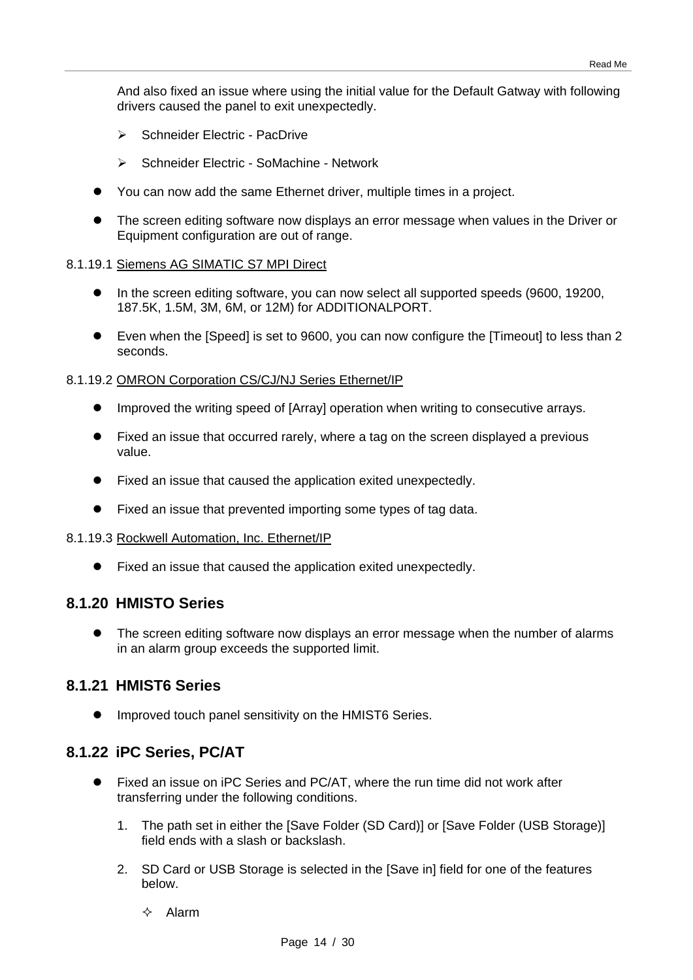And also fixed an issue where using the initial value for the Default Gatway with following drivers caused the panel to exit unexpectedly.

- Schneider Electric PacDrive
- ▶ Schneider Electric SoMachine Network
- You can now add the same Ethernet driver, multiple times in a project.
- The screen editing software now displays an error message when values in the Driver or Equipment configuration are out of range.

#### 8.1.19.1 Siemens AG SIMATIC S7 MPI Direct

- In the screen editing software, you can now select all supported speeds (9600, 19200, 187.5K, 1.5M, 3M, 6M, or 12M) for ADDITIONALPORT.
- Even when the [Speed] is set to 9600, you can now configure the [Timeout] to less than 2 seconds.

#### 8.1.19.2 OMRON Corporation CS/CJ/NJ Series Ethernet/IP

- Improved the writing speed of [Array] operation when writing to consecutive arrays.
- Fixed an issue that occurred rarely, where a tag on the screen displayed a previous value.
- Fixed an issue that caused the application exited unexpectedly.
- Fixed an issue that prevented importing some types of tag data.

#### 8.1.19.3 Rockwell Automation, Inc. Ethernet/IP

Fixed an issue that caused the application exited unexpectedly.

#### **8.1.20 HMISTO Series**

 The screen editing software now displays an error message when the number of alarms in an alarm group exceeds the supported limit.

#### **8.1.21 HMIST6 Series**

**•** Improved touch panel sensitivity on the HMIST6 Series.

## **8.1.22 iPC Series, PC/AT**

- Fixed an issue on iPC Series and PC/AT, where the run time did not work after transferring under the following conditions.
	- 1. The path set in either the [Save Folder (SD Card)] or [Save Folder (USB Storage)] field ends with a slash or backslash.
	- 2. SD Card or USB Storage is selected in the [Save in] field for one of the features below.
		- $\Leftrightarrow$  Alarm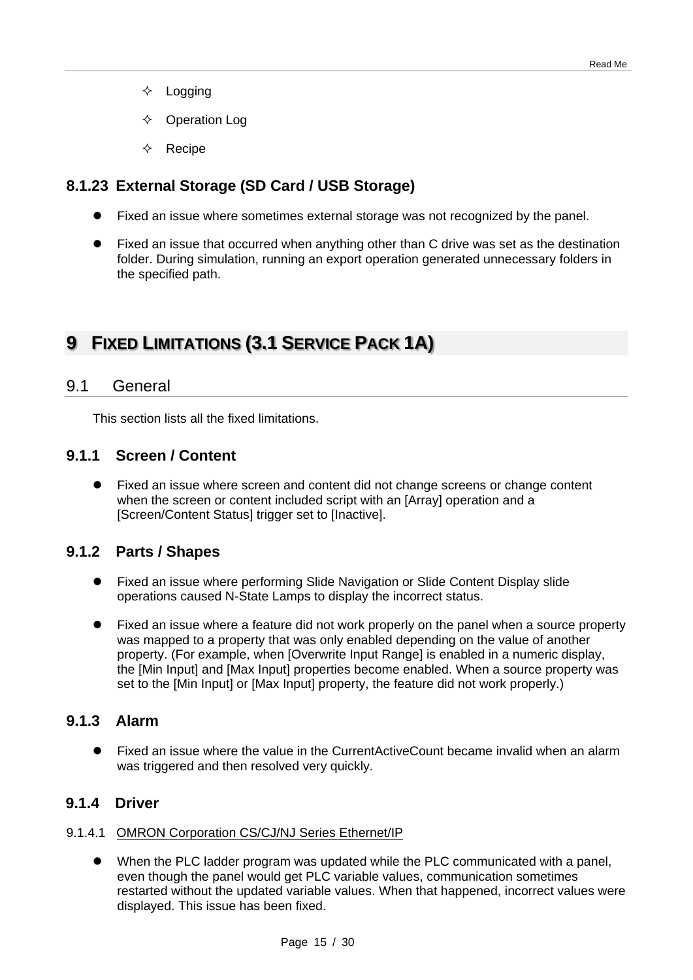- $\diamond$  Logging
- $\Diamond$  Operation Log
- Recipe

## **8.1.23 External Storage (SD Card / USB Storage)**

- Fixed an issue where sometimes external storage was not recognized by the panel.
- Fixed an issue that occurred when anything other than C drive was set as the destination folder. During simulation, running an export operation generated unnecessary folders in the specified path.

# **9 FIXED LIMITATIONS (3.1 SERVICE PACK 1A)**

## 9.1 General

This section lists all the fixed limitations.

## **9.1.1 Screen / Content**

 Fixed an issue where screen and content did not change screens or change content when the screen or content included script with an [Array] operation and a [Screen/Content Status] trigger set to [Inactive].

## **9.1.2 Parts / Shapes**

- Fixed an issue where performing Slide Navigation or Slide Content Display slide operations caused N-State Lamps to display the incorrect status.
- Fixed an issue where a feature did not work properly on the panel when a source property was mapped to a property that was only enabled depending on the value of another property. (For example, when [Overwrite Input Range] is enabled in a numeric display, the [Min Input] and [Max Input] properties become enabled. When a source property was set to the [Min Input] or [Max Input] property, the feature did not work properly.)

## **9.1.3 Alarm**

 Fixed an issue where the value in the CurrentActiveCount became invalid when an alarm was triggered and then resolved very quickly.

## **9.1.4 Driver**

#### 9.1.4.1 OMRON Corporation CS/CJ/NJ Series Ethernet/IP

 When the PLC ladder program was updated while the PLC communicated with a panel, even though the panel would get PLC variable values, communication sometimes restarted without the updated variable values. When that happened, incorrect values were displayed. This issue has been fixed.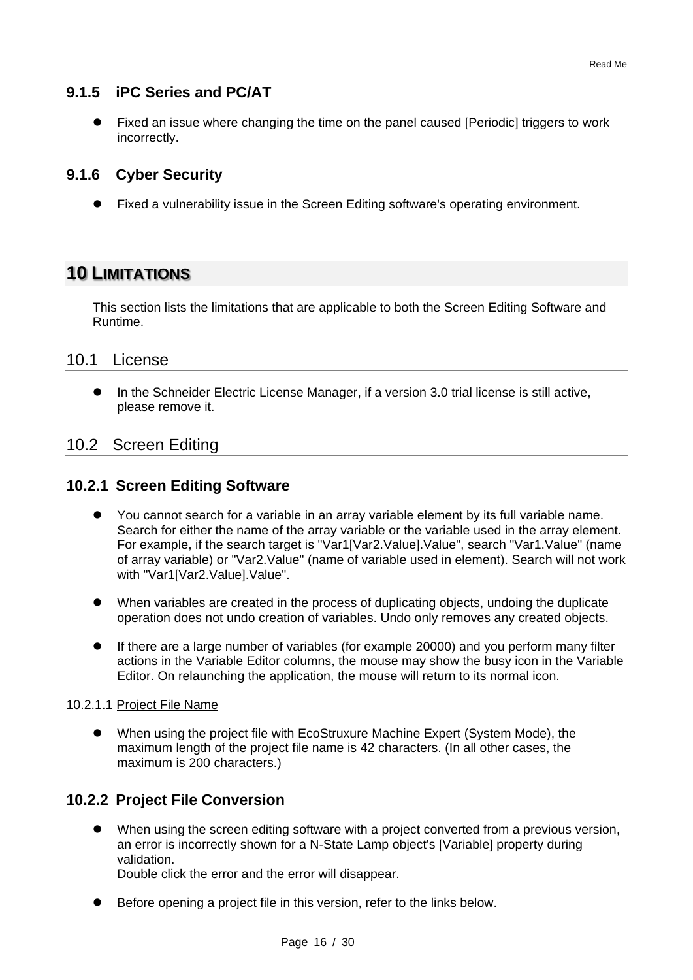## **9.1.5 iPC Series and PC/AT**

 Fixed an issue where changing the time on the panel caused [Periodic] triggers to work incorrectly.

## **9.1.6 Cyber Security**

Fixed a vulnerability issue in the Screen Editing software's operating environment.

# **10 LIMITATIONS**

This section lists the limitations that are applicable to both the Screen Editing Software and Runtime.

#### 10.1 License

 In the Schneider Electric License Manager, if a version 3.0 trial license is still active, please remove it.

## 10.2 Screen Editing

## **10.2.1 Screen Editing Software**

- You cannot search for a variable in an array variable element by its full variable name. Search for either the name of the array variable or the variable used in the array element. For example, if the search target is "Var1[Var2.Value].Value", search "Var1.Value" (name of array variable) or "Var2.Value" (name of variable used in element). Search will not work with "Var1[Var2.Value].Value".
- When variables are created in the process of duplicating objects, undoing the duplicate operation does not undo creation of variables. Undo only removes any created objects.
- If there are a large number of variables (for example 20000) and you perform many filter actions in the Variable Editor columns, the mouse may show the busy icon in the Variable Editor. On relaunching the application, the mouse will return to its normal icon.

#### 10.2.1.1 Project File Name

 When using the project file with EcoStruxure Machine Expert (System Mode), the maximum length of the project file name is 42 characters. (In all other cases, the maximum is 200 characters.)

## **10.2.2 Project File Conversion**

 When using the screen editing software with a project converted from a previous version, an error is incorrectly shown for a N-State Lamp object's [Variable] property during validation.

Double click the error and the error will disappear.

Before opening a project file in this version, refer to the links below.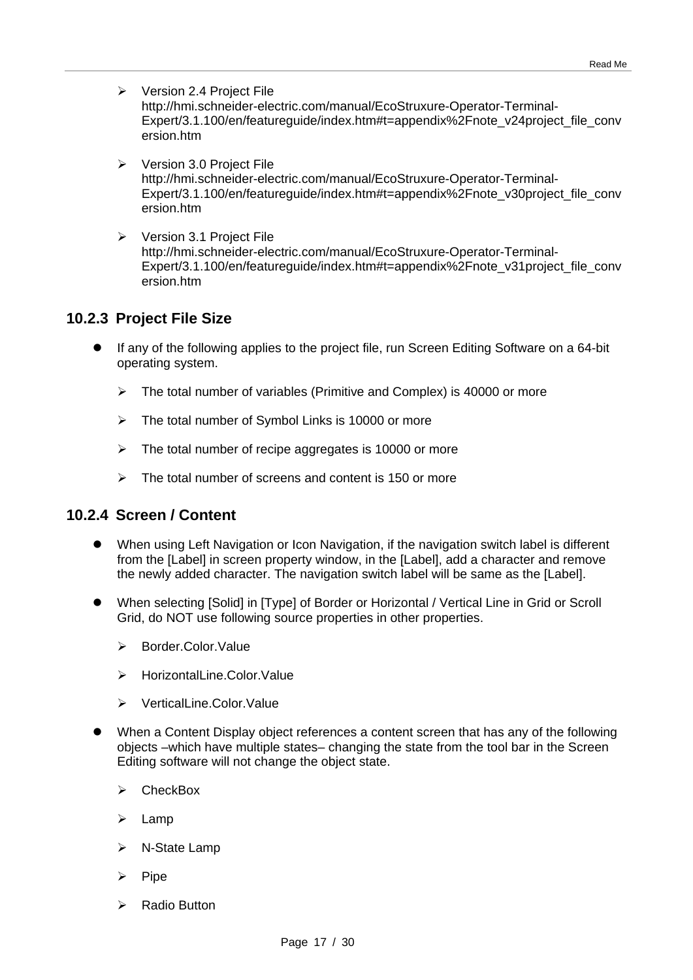- $\triangleright$  Version 2.4 Project File [http://hmi.schneider-electric.com/manual/EcoStruxure-Operator-Terminal-](http://hmi.schneider-electric.com/manual/EcoStruxure-Operator-Terminal-Expert/3.1.100/en/featureguide/index.htm#t=appendix%2Fnote_v24project_file_conversion.htm)[Expert/3.1.100/en/featureguide/index.htm#t=appendix%2Fnote\\_v24project\\_file\\_conv](http://hmi.schneider-electric.com/manual/EcoStruxure-Operator-Terminal-Expert/3.1.100/en/featureguide/index.htm#t=appendix%2Fnote_v24project_file_conversion.htm) [ersion.htm](http://hmi.schneider-electric.com/manual/EcoStruxure-Operator-Terminal-Expert/3.1.100/en/featureguide/index.htm#t=appendix%2Fnote_v24project_file_conversion.htm)
- $\triangleright$  Version 3.0 Project File [http://hmi.schneider-electric.com/manual/EcoStruxure-Operator-Terminal-](http://hmi.schneider-electric.com/manual/EcoStruxure-Operator-Terminal-Expert/3.1.100/en/featureguide/index.htm#t=appendix%2Fnote_v30project_file_conversion.htm)[Expert/3.1.100/en/featureguide/index.htm#t=appendix%2Fnote\\_v30project\\_file\\_conv](http://hmi.schneider-electric.com/manual/EcoStruxure-Operator-Terminal-Expert/3.1.100/en/featureguide/index.htm#t=appendix%2Fnote_v30project_file_conversion.htm) [ersion.htm](http://hmi.schneider-electric.com/manual/EcoStruxure-Operator-Terminal-Expert/3.1.100/en/featureguide/index.htm#t=appendix%2Fnote_v30project_file_conversion.htm)
- $\triangleright$  Version 3.1 Project File http://hmi.schneider-electric.com/manual/EcoStruxure-Operator-Terminal-Expert/3.1.100/en/featureguide/index.htm#t=appendix%2Fnote\_v31project\_file\_conv ersion htm

## **10.2.3 Project File Size**

- If any of the following applies to the project file, run Screen Editing Software on a 64-bit operating system.
	- $\triangleright$  The total number of variables (Primitive and Complex) is 40000 or more
	- $\triangleright$  The total number of Symbol Links is 10000 or more
	- $\triangleright$  The total number of recipe aggregates is 10000 or more
	- $\triangleright$  The total number of screens and content is 150 or more

## **10.2.4 Screen / Content**

- When using Left Navigation or Icon Navigation, if the navigation switch label is different from the [Label] in screen property window, in the [Label], add a character and remove the newly added character. The navigation switch label will be same as the [Label].
- When selecting [Solid] in [Type] of Border or Horizontal / Vertical Line in Grid or Scroll Grid, do NOT use following source properties in other properties.
	- > Border.Color.Value
	- > HorizontalLine.Color.Value
	- **EXECUTE:** VerticalLine.Color.Value
- When a Content Display object references a content screen that has any of the following objects –which have multiple states– changing the state from the tool bar in the Screen Editing software will not change the object state.
	- $\triangleright$  CheckBox
	- Lamp
	- > N-State Lamp
	- Pipe
	- Radio Button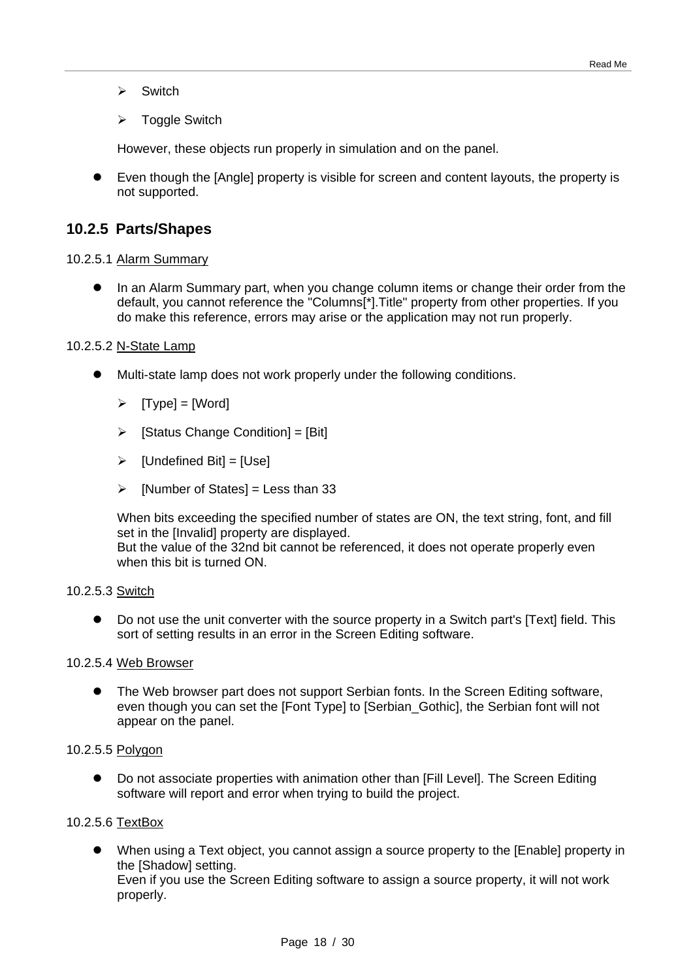- $\triangleright$  Switch
- **▶ Toggle Switch**

However, these objects run properly in simulation and on the panel.

 Even though the [Angle] property is visible for screen and content layouts, the property is not supported.

#### **10.2.5 Parts/Shapes**

#### 10.2.5.1 Alarm Summary

 In an Alarm Summary part, when you change column items or change their order from the default, you cannot reference the "Columns[\*].Title" property from other properties. If you do make this reference, errors may arise or the application may not run properly.

#### 10.2.5.2 N-State Lamp

- Multi-state lamp does not work properly under the following conditions.
	- $\triangleright$  [Type] = [Word]
	- $\triangleright$  [Status Change Condition] = [Bit]
	- $\triangleright$  [Undefined Bit] = [Use]
	- $\triangleright$  [Number of States] = Less than 33

When bits exceeding the specified number of states are ON, the text string, font, and fill set in the [Invalid] property are displayed. But the value of the 32nd bit cannot be referenced, it does not operate properly even when this bit is turned ON.

#### 10.2.5.3 Switch

 Do not use the unit converter with the source property in a Switch part's [Text] field. This sort of setting results in an error in the Screen Editing software.

#### 10.2.5.4 Web Browser

 The Web browser part does not support Serbian fonts. In the Screen Editing software, even though you can set the [Font Type] to [Serbian\_Gothic], the Serbian font will not appear on the panel.

#### 10.2.5.5 Polygon

 Do not associate properties with animation other than [Fill Level]. The Screen Editing software will report and error when trying to build the project.

#### 10.2.5.6 TextBox

 When using a Text object, you cannot assign a source property to the [Enable] property in the [Shadow] setting.

Even if you use the Screen Editing software to assign a source property, it will not work properly.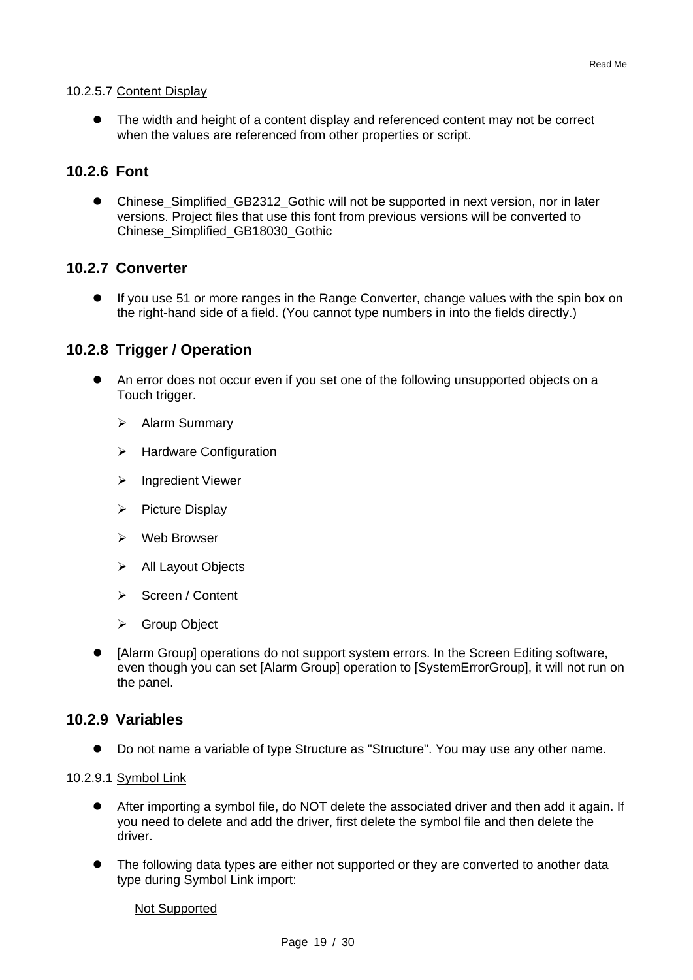#### 10.2.5.7 Content Display

 The width and height of a content display and referenced content may not be correct when the values are referenced from other properties or script.

## **10.2.6 Font**

● Chinese Simplified GB2312 Gothic will not be supported in next version, nor in later versions. Project files that use this font from previous versions will be converted to Chinese\_Simplified\_GB18030\_Gothic

#### **10.2.7 Converter**

 If you use 51 or more ranges in the Range Converter, change values with the spin box on the right-hand side of a field. (You cannot type numbers in into the fields directly.)

## **10.2.8 Trigger / Operation**

- An error does not occur even if you set one of the following unsupported objects on a Touch trigger.
	- > Alarm Summary
	- $\triangleright$  Hardware Configuration
	- > Ingredient Viewer
	- $\triangleright$  Picture Display
	- $\triangleright$  Web Browser
	- $\triangleright$  All Layout Objects
	- Screen / Content
	- Group Object
- [Alarm Group] operations do not support system errors. In the Screen Editing software, even though you can set [Alarm Group] operation to [SystemErrorGroup], it will not run on the panel.

#### **10.2.9 Variables**

Do not name a variable of type Structure as "Structure". You may use any other name.

#### 10.2.9.1 Symbol Link

- After importing a symbol file, do NOT delete the associated driver and then add it again. If you need to delete and add the driver, first delete the symbol file and then delete the driver.
- The following data types are either not supported or they are converted to another data type during Symbol Link import:

#### Not Supported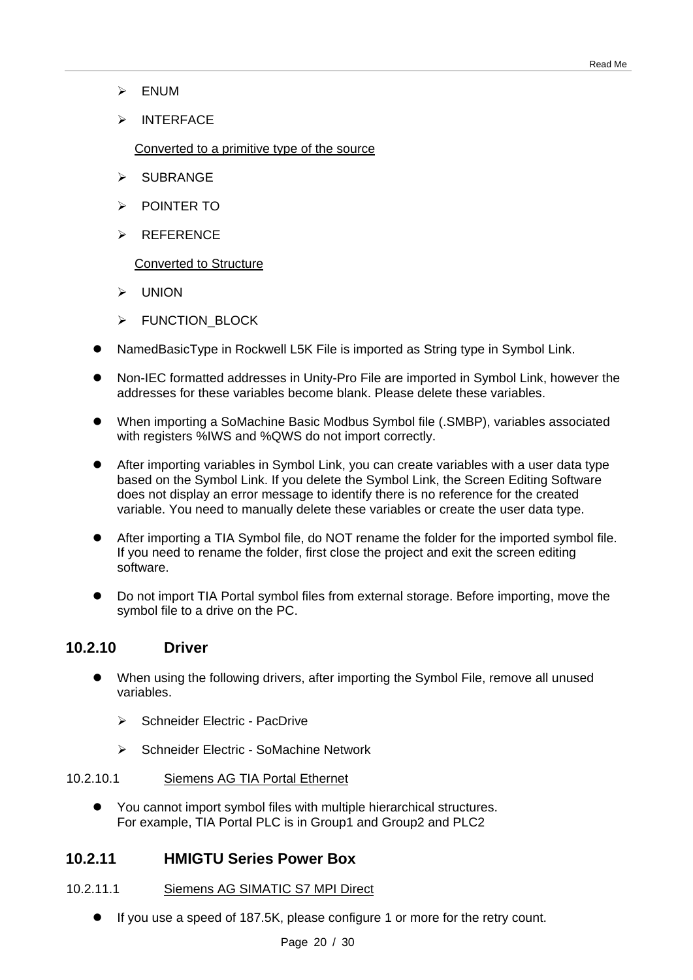- ENUM
- > INTERFACE

Converted to a primitive type of the source

- SUBRANGE
- **EXAMPLE POINTER TO**
- > REFERENCE

Converted to Structure

- UNION
- > FUNCTION BLOCK
- NamedBasicType in Rockwell L5K File is imported as String type in Symbol Link.
- Non-IEC formatted addresses in Unity-Pro File are imported in Symbol Link, however the addresses for these variables become blank. Please delete these variables.
- When importing a SoMachine Basic Modbus Symbol file (.SMBP), variables associated with registers %IWS and %QWS do not import correctly.
- After importing variables in Symbol Link, you can create variables with a user data type based on the Symbol Link. If you delete the Symbol Link, the Screen Editing Software does not display an error message to identify there is no reference for the created variable. You need to manually delete these variables or create the user data type.
- After importing a TIA Symbol file, do NOT rename the folder for the imported symbol file. If you need to rename the folder, first close the project and exit the screen editing software.
- Do not import TIA Portal symbol files from external storage. Before importing, move the symbol file to a drive on the PC.

#### **10.2.10 Driver**

- When using the following drivers, after importing the Symbol File, remove all unused variables.
	- Schneider Electric PacDrive
	- Schneider Electric SoMachine Network

#### 10.2.10.1 Siemens AG TIA Portal Ethernet

 You cannot import symbol files with multiple hierarchical structures. For example, TIA Portal PLC is in Group1 and Group2 and PLC2

#### **10.2.11 HMIGTU Series Power Box**

#### 10.2.11.1 Siemens AG SIMATIC S7 MPI Direct

If you use a speed of 187.5K, please configure 1 or more for the retry count.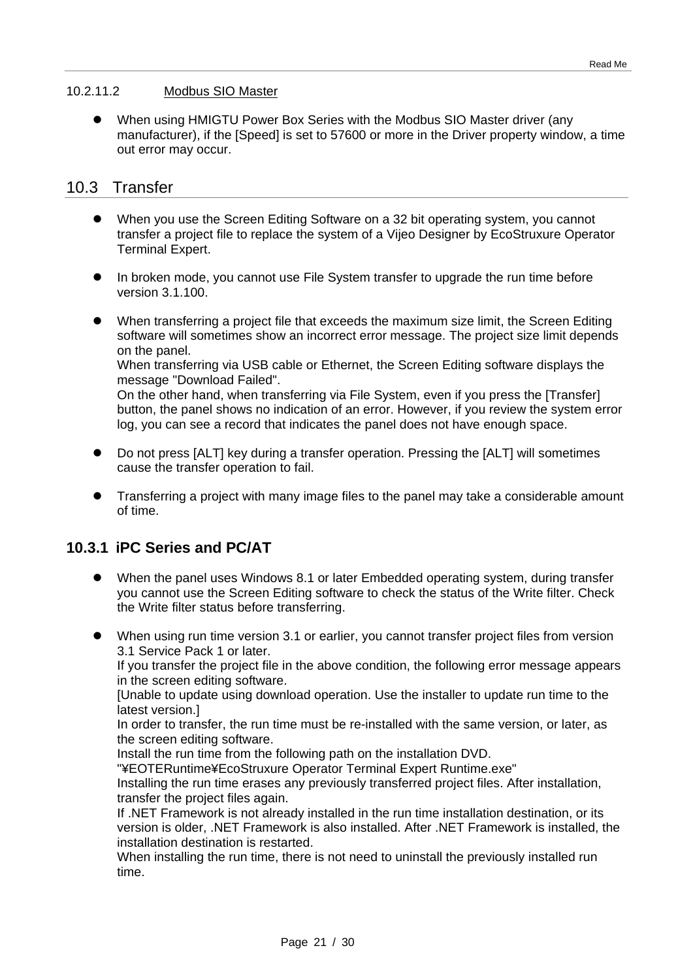#### 10.2.11.2 Modbus SIO Master

 When using HMIGTU Power Box Series with the Modbus SIO Master driver (any manufacturer), if the [Speed] is set to 57600 or more in the Driver property window, a time out error may occur.

#### 10.3 Transfer

- When you use the Screen Editing Software on a 32 bit operating system, you cannot transfer a project file to replace the system of a Vijeo Designer by EcoStruxure Operator Terminal Expert.
- In broken mode, you cannot use File System transfer to upgrade the run time before version 3.1.100.
- When transferring a project file that exceeds the maximum size limit, the Screen Editing software will sometimes show an incorrect error message. The project size limit depends on the panel.

When transferring via USB cable or Ethernet, the Screen Editing software displays the message "Download Failed".

On the other hand, when transferring via File System, even if you press the [Transfer] button, the panel shows no indication of an error. However, if you review the system error log, you can see a record that indicates the panel does not have enough space.

- Do not press [ALT] key during a transfer operation. Pressing the [ALT] will sometimes cause the transfer operation to fail.
- Transferring a project with many image files to the panel may take a considerable amount of time.

## **10.3.1 iPC Series and PC/AT**

- When the panel uses Windows 8.1 or later Embedded operating system, during transfer you cannot use the Screen Editing software to check the status of the Write filter. Check the Write filter status before transferring.
- When using run time version 3.1 or earlier, you cannot transfer project files from version 3.1 Service Pack 1 or later.

If you transfer the project file in the above condition, the following error message appears in the screen editing software.

[Unable to update using download operation. Use the installer to update run time to the latest version.]

In order to transfer, the run time must be re-installed with the same version, or later, as the screen editing software.

Install the run time from the following path on the installation DVD.

"¥EOTERuntime¥EcoStruxure Operator Terminal Expert Runtime.exe"

Installing the run time erases any previously transferred project files. After installation, transfer the project files again.

If .NET Framework is not already installed in the run time installation destination, or its version is older, .NET Framework is also installed. After .NET Framework is installed, the installation destination is restarted.

When installing the run time, there is not need to uninstall the previously installed run time.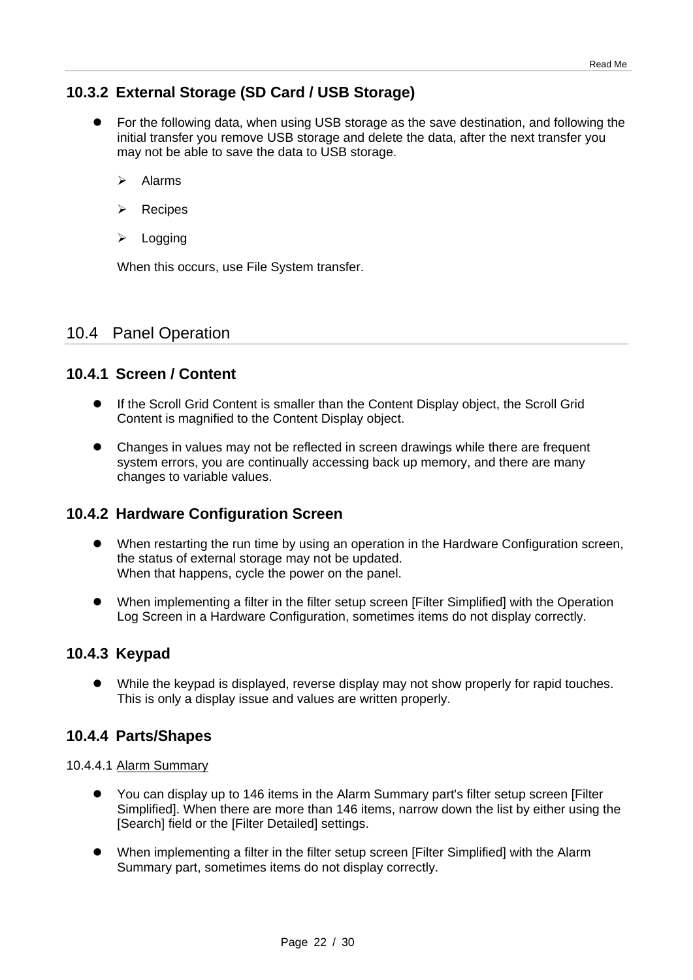## **10.3.2 External Storage (SD Card / USB Storage)**

- For the following data, when using USB storage as the save destination, and following the initial transfer you remove USB storage and delete the data, after the next transfer you may not be able to save the data to USB storage.
	- $\triangleright$  Alarms
	- $\triangleright$  Recipes
	- $\triangleright$  Logging

When this occurs, use File System transfer.

## 10.4 Panel Operation

## **10.4.1 Screen / Content**

- If the Scroll Grid Content is smaller than the Content Display object, the Scroll Grid Content is magnified to the Content Display object.
- Changes in values may not be reflected in screen drawings while there are frequent system errors, you are continually accessing back up memory, and there are many changes to variable values.

## **10.4.2 Hardware Configuration Screen**

- When restarting the run time by using an operation in the Hardware Configuration screen, the status of external storage may not be updated. When that happens, cycle the power on the panel.
- When implementing a filter in the filter setup screen [Filter Simplified] with the Operation Log Screen in a Hardware Configuration, sometimes items do not display correctly.

## **10.4.3 Keypad**

 While the keypad is displayed, reverse display may not show properly for rapid touches. This is only a display issue and values are written properly.

#### **10.4.4 Parts/Shapes**

10.4.4.1 Alarm Summary

- You can display up to 146 items in the Alarm Summary part's filter setup screen [Filter Simplified]. When there are more than 146 items, narrow down the list by either using the [Search] field or the [Filter Detailed] settings.
- When implementing a filter in the filter setup screen [Filter Simplified] with the Alarm Summary part, sometimes items do not display correctly.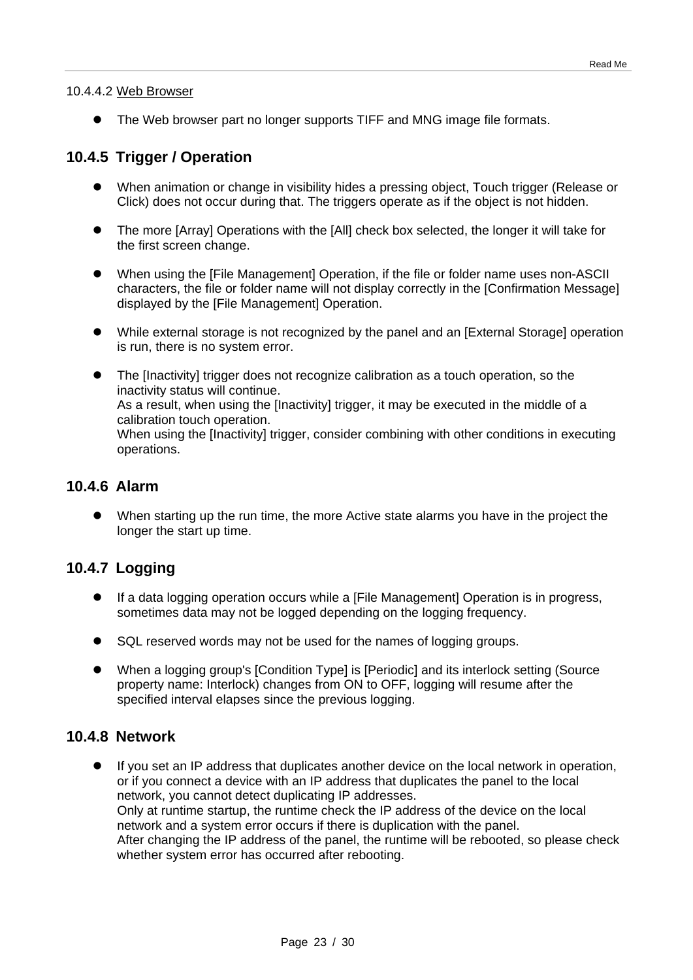#### 10.4.4.2 Web Browser

The Web browser part no longer supports TIFF and MNG image file formats.

## **10.4.5 Trigger / Operation**

- When animation or change in visibility hides a pressing object, Touch trigger (Release or Click) does not occur during that. The triggers operate as if the object is not hidden.
- The more [Array] Operations with the [All] check box selected, the longer it will take for the first screen change.
- When using the [File Management] Operation, if the file or folder name uses non-ASCII characters, the file or folder name will not display correctly in the [Confirmation Message] displayed by the [File Management] Operation.
- While external storage is not recognized by the panel and an [External Storage] operation is run, there is no system error.
- The [Inactivity] trigger does not recognize calibration as a touch operation, so the inactivity status will continue. As a result, when using the [Inactivity] trigger, it may be executed in the middle of a calibration touch operation. When using the [Inactivity] trigger, consider combining with other conditions in executing operations.

#### **10.4.6 Alarm**

 When starting up the run time, the more Active state alarms you have in the project the longer the start up time.

## **10.4.7 Logging**

- If a data logging operation occurs while a [File Management] Operation is in progress, sometimes data may not be logged depending on the logging frequency.
- SQL reserved words may not be used for the names of logging groups.
- When a logging group's [Condition Type] is [Periodic] and its interlock setting (Source property name: Interlock) changes from ON to OFF, logging will resume after the specified interval elapses since the previous logging.

#### **10.4.8 Network**

 If you set an IP address that duplicates another device on the local network in operation, or if you connect a device with an IP address that duplicates the panel to the local network, you cannot detect duplicating IP addresses. Only at runtime startup, the runtime check the IP address of the device on the local network and a system error occurs if there is duplication with the panel. After changing the IP address of the panel, the runtime will be rebooted, so please check whether system error has occurred after rebooting.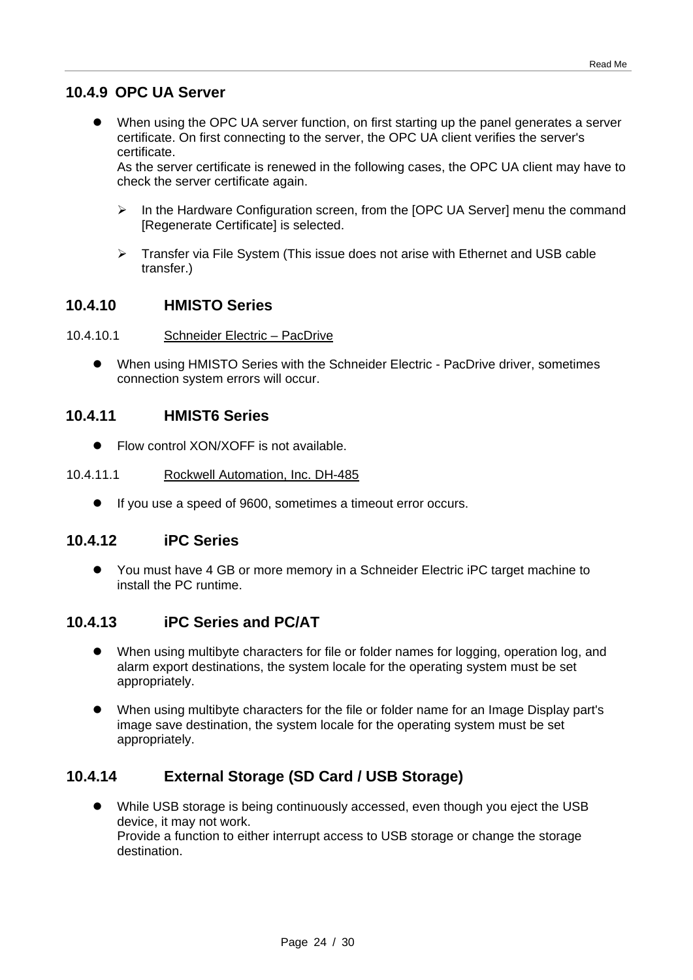## **10.4.9 OPC UA Server**

 When using the OPC UA server function, on first starting up the panel generates a server certificate. On first connecting to the server, the OPC UA client verifies the server's certificate.

As the server certificate is renewed in the following cases, the OPC UA client may have to check the server certificate again.

- $\triangleright$  In the Hardware Configuration screen, from the [OPC UA Server] menu the command [Regenerate Certificate] is selected.
- $\triangleright$  Transfer via File System (This issue does not arise with Ethernet and USB cable transfer.)

#### **10.4.10 HMISTO Series**

#### 10.4.10.1 Schneider Electric – PacDrive

 When using HMISTO Series with the Schneider Electric - PacDrive driver, sometimes connection system errors will occur.

#### **10.4.11 HMIST6 Series**

• Flow control XON/XOFF is not available.

#### 10.4.11.1 Rockwell Automation, Inc. DH-485

If you use a speed of 9600, sometimes a timeout error occurs.

#### **10.4.12 iPC Series**

 You must have 4 GB or more memory in a Schneider Electric iPC target machine to install the PC runtime.

## **10.4.13 iPC Series and PC/AT**

- When using multibyte characters for file or folder names for logging, operation log, and alarm export destinations, the system locale for the operating system must be set appropriately.
- When using multibyte characters for the file or folder name for an Image Display part's image save destination, the system locale for the operating system must be set appropriately.

## **10.4.14 External Storage (SD Card / USB Storage)**

 While USB storage is being continuously accessed, even though you eject the USB device, it may not work. Provide a function to either interrupt access to USB storage or change the storage destination.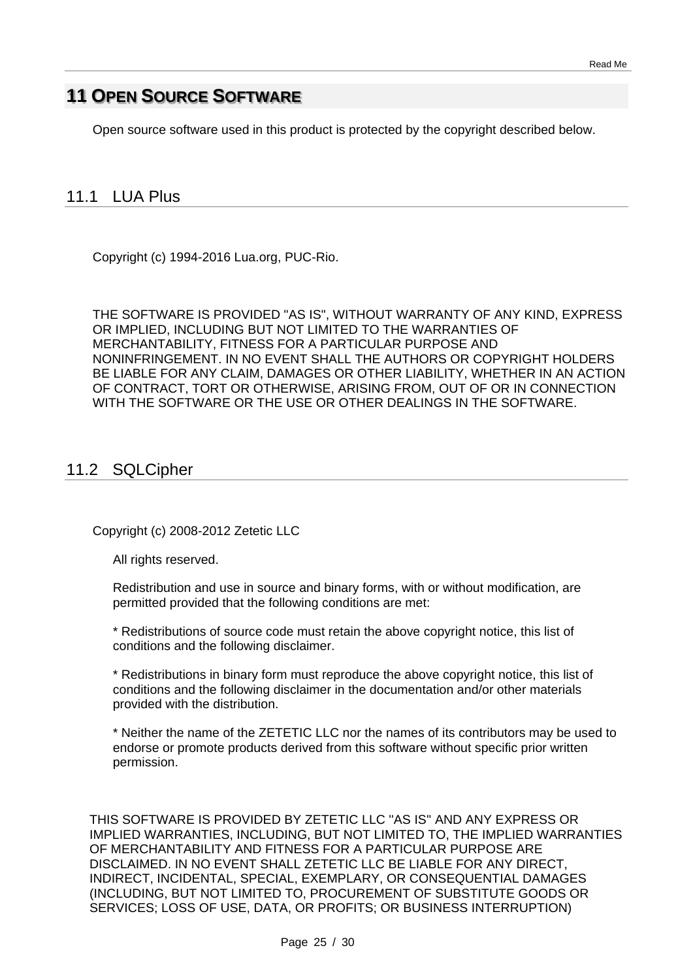# **11 OPEN SOURCE SOFTWARE**

Open source software used in this product is protected by the copyright described below.

## 11.1 LUA Plus

Copyright (c) 1994-2016 Lua.org, PUC-Rio.

THE SOFTWARE IS PROVIDED "AS IS", WITHOUT WARRANTY OF ANY KIND, EXPRESS OR IMPLIED, INCLUDING BUT NOT LIMITED TO THE WARRANTIES OF MERCHANTABILITY, FITNESS FOR A PARTICULAR PURPOSE AND NONINFRINGEMENT. IN NO EVENT SHALL THE AUTHORS OR COPYRIGHT HOLDERS BE LIABLE FOR ANY CLAIM, DAMAGES OR OTHER LIABILITY, WHETHER IN AN ACTION OF CONTRACT, TORT OR OTHERWISE, ARISING FROM, OUT OF OR IN CONNECTION WITH THE SOFTWARE OR THE USE OR OTHER DEALINGS IN THE SOFTWARE.

## 11.2 SQLCipher

Copyright (c) 2008-2012 Zetetic LLC

All rights reserved.

Redistribution and use in source and binary forms, with or without modification, are permitted provided that the following conditions are met:

\* Redistributions of source code must retain the above copyright notice, this list of conditions and the following disclaimer.

\* Redistributions in binary form must reproduce the above copyright notice, this list of conditions and the following disclaimer in the documentation and/or other materials provided with the distribution.

\* Neither the name of the ZETETIC LLC nor the names of its contributors may be used to endorse or promote products derived from this software without specific prior written permission.

THIS SOFTWARE IS PROVIDED BY ZETETIC LLC ''AS IS'' AND ANY EXPRESS OR IMPLIED WARRANTIES, INCLUDING, BUT NOT LIMITED TO, THE IMPLIED WARRANTIES OF MERCHANTABILITY AND FITNESS FOR A PARTICULAR PURPOSE ARE DISCLAIMED. IN NO EVENT SHALL ZETETIC LLC BE LIABLE FOR ANY DIRECT, INDIRECT, INCIDENTAL, SPECIAL, EXEMPLARY, OR CONSEQUENTIAL DAMAGES (INCLUDING, BUT NOT LIMITED TO, PROCUREMENT OF SUBSTITUTE GOODS OR SERVICES; LOSS OF USE, DATA, OR PROFITS; OR BUSINESS INTERRUPTION)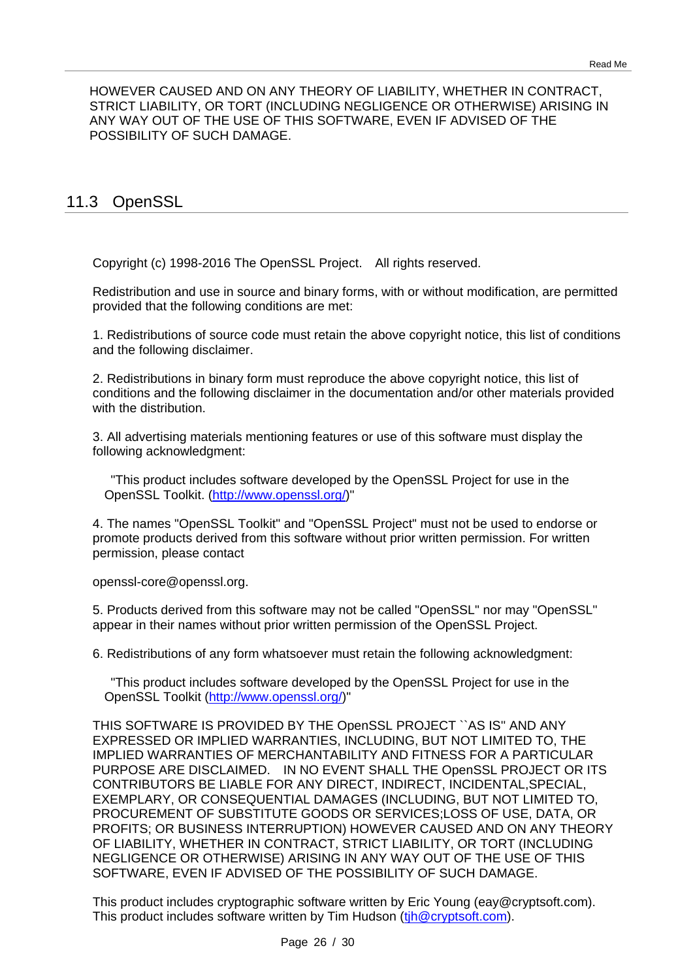HOWEVER CAUSED AND ON ANY THEORY OF LIABILITY, WHETHER IN CONTRACT, STRICT LIABILITY, OR TORT (INCLUDING NEGLIGENCE OR OTHERWISE) ARISING IN ANY WAY OUT OF THE USE OF THIS SOFTWARE, EVEN IF ADVISED OF THE POSSIBILITY OF SUCH DAMAGE.

## 11.3 OpenSSL

Copyright (c) 1998-2016 The OpenSSL Project. All rights reserved.

Redistribution and use in source and binary forms, with or without modification, are permitted provided that the following conditions are met:

1. Redistributions of source code must retain the above copyright notice, this list of conditions and the following disclaimer.

2. Redistributions in binary form must reproduce the above copyright notice, this list of conditions and the following disclaimer in the documentation and/or other materials provided with the distribution.

3. All advertising materials mentioning features or use of this software must display the following acknowledgment:

"This product includes software developed by the OpenSSL Project for use in the OpenSSL Toolkit. [\(http://www.openssl.org/\)](http://www.openssl.org/)"

4. The names "OpenSSL Toolkit" and "OpenSSL Project" must not be used to endorse or promote products derived from this software without prior written permission. For written permission, please contact

openssl-core@openssl.org.

5. Products derived from this software may not be called "OpenSSL" nor may "OpenSSL" appear in their names without prior written permission of the OpenSSL Project.

6. Redistributions of any form whatsoever must retain the following acknowledgment:

"This product includes software developed by the OpenSSL Project for use in the OpenSSL Toolkit [\(http://www.openssl.org/\)](http://www.openssl.org/)"

THIS SOFTWARE IS PROVIDED BY THE OpenSSL PROJECT ``AS IS'' AND ANY EXPRESSED OR IMPLIED WARRANTIES, INCLUDING, BUT NOT LIMITED TO, THE IMPLIED WARRANTIES OF MERCHANTABILITY AND FITNESS FOR A PARTICULAR PURPOSE ARE DISCLAIMED. IN NO EVENT SHALL THE OpenSSL PROJECT OR ITS CONTRIBUTORS BE LIABLE FOR ANY DIRECT, INDIRECT, INCIDENTAL,SPECIAL, EXEMPLARY, OR CONSEQUENTIAL DAMAGES (INCLUDING, BUT NOT LIMITED TO, PROCUREMENT OF SUBSTITUTE GOODS OR SERVICES;LOSS OF USE, DATA, OR PROFITS; OR BUSINESS INTERRUPTION) HOWEVER CAUSED AND ON ANY THEORY OF LIABILITY, WHETHER IN CONTRACT, STRICT LIABILITY, OR TORT (INCLUDING NEGLIGENCE OR OTHERWISE) ARISING IN ANY WAY OUT OF THE USE OF THIS SOFTWARE, EVEN IF ADVISED OF THE POSSIBILITY OF SUCH DAMAGE.

This product includes cryptographic software written by Eric Young (eay@cryptsoft.com). This product includes software written by Tim Hudson (tih@cryptsoft.com).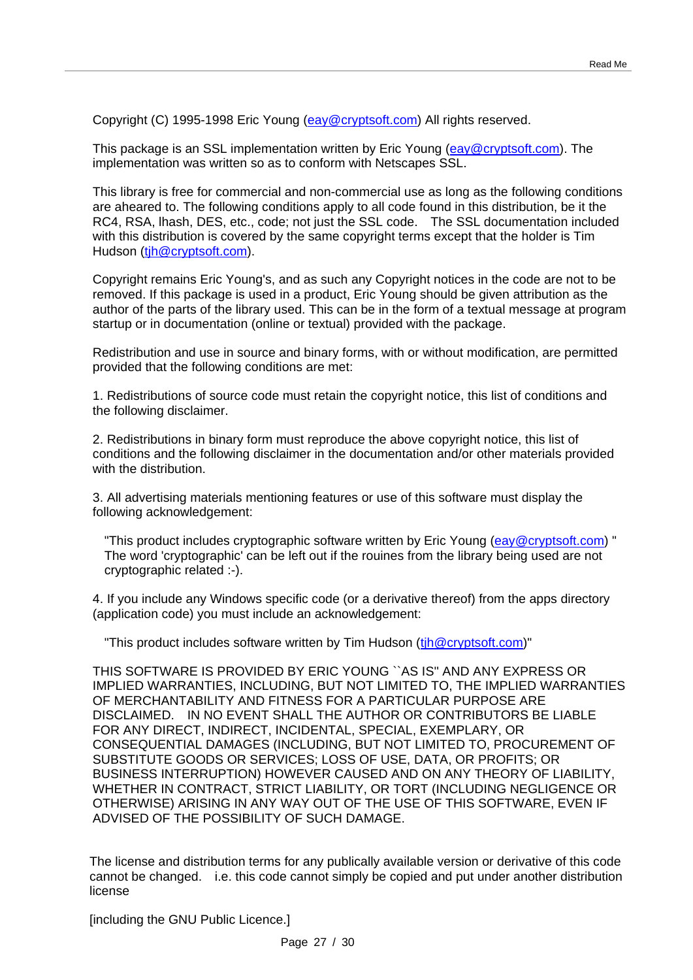Copyright (C) 1995-1998 Eric Young [\(eay@cryptsoft.com\)](mailto:eay@cryptsoft.com) All rights reserved.

This package is an SSL implementation written by Eric Young (eav@cryptsoft.com). The implementation was written so as to conform with Netscapes SSL.

This library is free for commercial and non-commercial use as long as the following conditions are aheared to. The following conditions apply to all code found in this distribution, be it the RC4, RSA, lhash, DES, etc., code; not just the SSL code. The SSL documentation included with this distribution is covered by the same copyright terms except that the holder is Tim Hudson (tih@cryptsoft.com).

Copyright remains Eric Young's, and as such any Copyright notices in the code are not to be removed. If this package is used in a product, Eric Young should be given attribution as the author of the parts of the library used. This can be in the form of a textual message at program startup or in documentation (online or textual) provided with the package.

Redistribution and use in source and binary forms, with or without modification, are permitted provided that the following conditions are met:

1. Redistributions of source code must retain the copyright notice, this list of conditions and the following disclaimer.

2. Redistributions in binary form must reproduce the above copyright notice, this list of conditions and the following disclaimer in the documentation and/or other materials provided with the distribution

3. All advertising materials mentioning features or use of this software must display the following acknowledgement:

"This product includes cryptographic software written by Eric Young [\(eay@cryptsoft.com\)](mailto:eay@cryptsoft.com)" The word 'cryptographic' can be left out if the rouines from the library being used are not cryptographic related :-).

4. If you include any Windows specific code (or a derivative thereof) from the apps directory (application code) you must include an acknowledgement:

"This product includes software written by Tim Hudson (tih@cryptsoft.com)"

THIS SOFTWARE IS PROVIDED BY ERIC YOUNG ``AS IS'' AND ANY EXPRESS OR IMPLIED WARRANTIES, INCLUDING, BUT NOT LIMITED TO, THE IMPLIED WARRANTIES OF MERCHANTABILITY AND FITNESS FOR A PARTICULAR PURPOSE ARE DISCLAIMED. IN NO EVENT SHALL THE AUTHOR OR CONTRIBUTORS BE LIABLE FOR ANY DIRECT, INDIRECT, INCIDENTAL, SPECIAL, EXEMPLARY, OR CONSEQUENTIAL DAMAGES (INCLUDING, BUT NOT LIMITED TO, PROCUREMENT OF SUBSTITUTE GOODS OR SERVICES; LOSS OF USE, DATA, OR PROFITS; OR BUSINESS INTERRUPTION) HOWEVER CAUSED AND ON ANY THEORY OF LIABILITY, WHETHER IN CONTRACT, STRICT LIABILITY, OR TORT (INCLUDING NEGLIGENCE OR OTHERWISE) ARISING IN ANY WAY OUT OF THE USE OF THIS SOFTWARE, EVEN IF ADVISED OF THE POSSIBILITY OF SUCH DAMAGE.

The license and distribution terms for any publically available version or derivative of this code cannot be changed. i.e. this code cannot simply be copied and put under another distribution license

[including the GNU Public Licence.]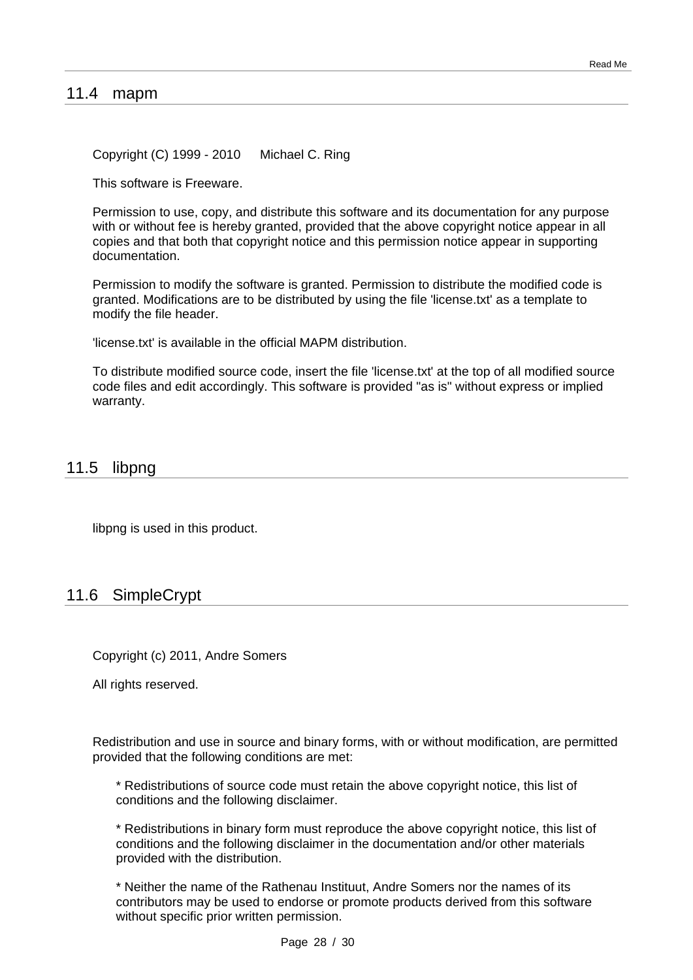#### 11.4 mapm

Copyright (C) 1999 - 2010 Michael C. Ring

This software is Freeware.

Permission to use, copy, and distribute this software and its documentation for any purpose with or without fee is hereby granted, provided that the above copyright notice appear in all copies and that both that copyright notice and this permission notice appear in supporting documentation.

Permission to modify the software is granted. Permission to distribute the modified code is granted. Modifications are to be distributed by using the file 'license.txt' as a template to modify the file header.

'license.txt' is available in the official MAPM distribution.

To distribute modified source code, insert the file 'license.txt' at the top of all modified source code files and edit accordingly. This software is provided "as is" without express or implied warranty.

#### 11.5 libpng

libpng is used in this product.

## 11.6 SimpleCrypt

Copyright (c) 2011, Andre Somers

All rights reserved.

Redistribution and use in source and binary forms, with or without modification, are permitted provided that the following conditions are met:

\* Redistributions of source code must retain the above copyright notice, this list of conditions and the following disclaimer.

\* Redistributions in binary form must reproduce the above copyright notice, this list of conditions and the following disclaimer in the documentation and/or other materials provided with the distribution.

\* Neither the name of the Rathenau Instituut, Andre Somers nor the names of its contributors may be used to endorse or promote products derived from this software without specific prior written permission.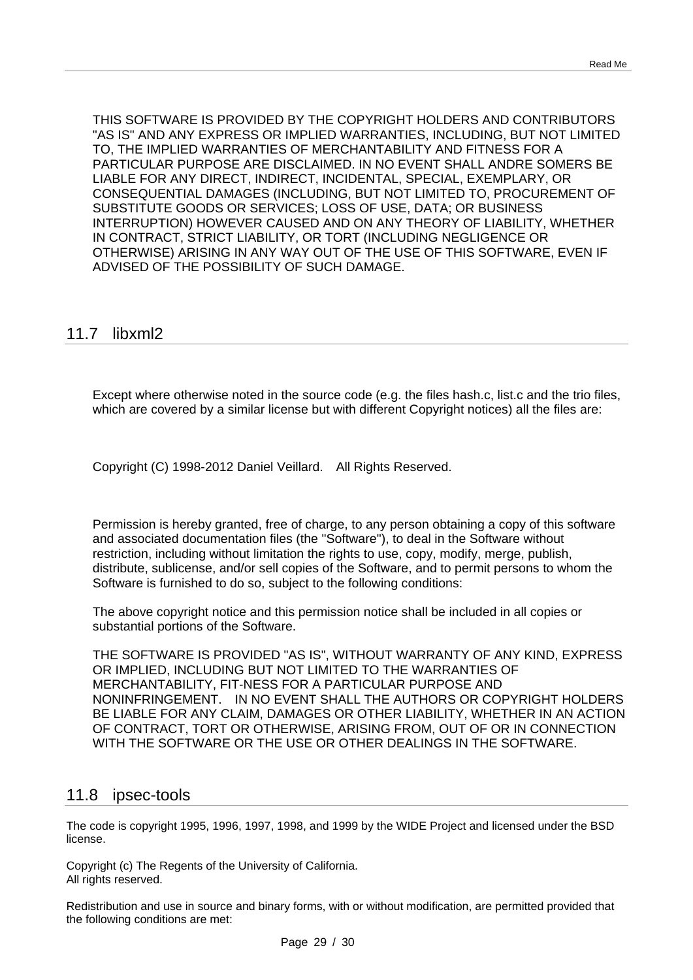THIS SOFTWARE IS PROVIDED BY THE COPYRIGHT HOLDERS AND CONTRIBUTORS "AS IS" AND ANY EXPRESS OR IMPLIED WARRANTIES, INCLUDING, BUT NOT LIMITED TO, THE IMPLIED WARRANTIES OF MERCHANTABILITY AND FITNESS FOR A PARTICULAR PURPOSE ARE DISCLAIMED. IN NO EVENT SHALL ANDRE SOMERS BE LIABLE FOR ANY DIRECT, INDIRECT, INCIDENTAL, SPECIAL, EXEMPLARY, OR CONSEQUENTIAL DAMAGES (INCLUDING, BUT NOT LIMITED TO, PROCUREMENT OF SUBSTITUTE GOODS OR SERVICES; LOSS OF USE, DATA; OR BUSINESS INTERRUPTION) HOWEVER CAUSED AND ON ANY THEORY OF LIABILITY, WHETHER IN CONTRACT, STRICT LIABILITY, OR TORT (INCLUDING NEGLIGENCE OR OTHERWISE) ARISING IN ANY WAY OUT OF THE USE OF THIS SOFTWARE, EVEN IF ADVISED OF THE POSSIBILITY OF SUCH DAMAGE.

#### 11.7 libxml2

Except where otherwise noted in the source code (e.g. the files hash.c, list.c and the trio files, which are covered by a similar license but with different Copyright notices) all the files are:

Copyright (C) 1998-2012 Daniel Veillard. All Rights Reserved.

Permission is hereby granted, free of charge, to any person obtaining a copy of this software and associated documentation files (the "Software"), to deal in the Software without restriction, including without limitation the rights to use, copy, modify, merge, publish, distribute, sublicense, and/or sell copies of the Software, and to permit persons to whom the Software is furnished to do so, subject to the following conditions:

The above copyright notice and this permission notice shall be included in all copies or substantial portions of the Software.

THE SOFTWARE IS PROVIDED "AS IS", WITHOUT WARRANTY OF ANY KIND, EXPRESS OR IMPLIED, INCLUDING BUT NOT LIMITED TO THE WARRANTIES OF MERCHANTABILITY, FIT-NESS FOR A PARTICULAR PURPOSE AND NONINFRINGEMENT. IN NO EVENT SHALL THE AUTHORS OR COPYRIGHT HOLDERS BE LIABLE FOR ANY CLAIM, DAMAGES OR OTHER LIABILITY, WHETHER IN AN ACTION OF CONTRACT, TORT OR OTHERWISE, ARISING FROM, OUT OF OR IN CONNECTION WITH THE SOFTWARE OR THE USE OR OTHER DEALINGS IN THE SOFTWARE.

#### 11.8 ipsec-tools

The code is copyright 1995, 1996, 1997, 1998, and 1999 by the WIDE Project and licensed under the BSD license.

Copyright (c) The Regents of the University of California. All rights reserved.

Redistribution and use in source and binary forms, with or without modification, are permitted provided that the following conditions are met: